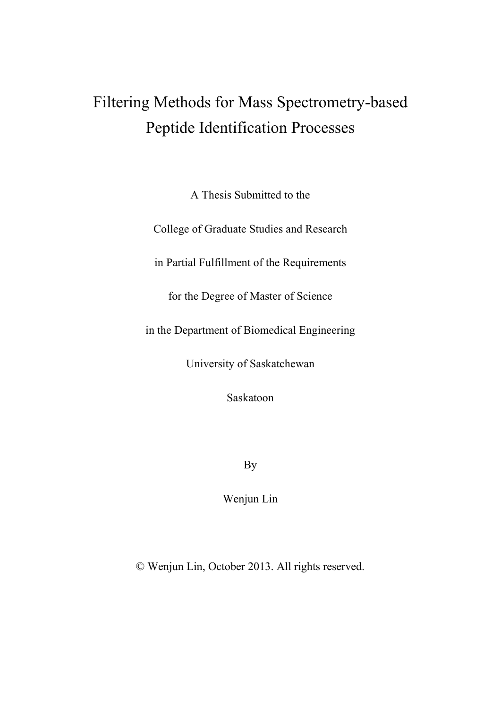# Filtering Methods for Mass Spectrometry-based Peptide Identification Processes

A Thesis Submitted to the

College of Graduate Studies and Research

in Partial Fulfillment of the Requirements

for the Degree of Master of Science

in the Department of Biomedical Engineering

University of Saskatchewan

Saskatoon

By

Wenjun Lin

© Wenjun Lin, October 2013. All rights reserved.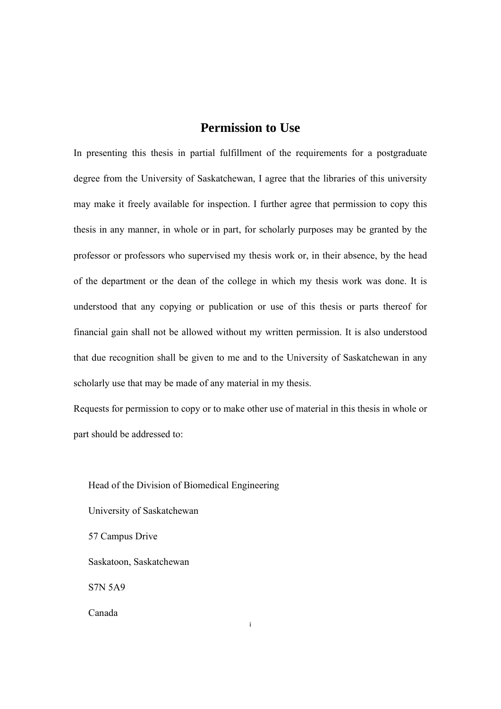### **Permission to Use**

In presenting this thesis in partial fulfillment of the requirements for a postgraduate degree from the University of Saskatchewan, I agree that the libraries of this university may make it freely available for inspection. I further agree that permission to copy this thesis in any manner, in whole or in part, for scholarly purposes may be granted by the professor or professors who supervised my thesis work or, in their absence, by the head of the department or the dean of the college in which my thesis work was done. It is understood that any copying or publication or use of this thesis or parts thereof for financial gain shall not be allowed without my written permission. It is also understood that due recognition shall be given to me and to the University of Saskatchewan in any scholarly use that may be made of any material in my thesis.

Requests for permission to copy or to make other use of material in this thesis in whole or part should be addressed to:

i

Head of the Division of Biomedical Engineering University of Saskatchewan 57 Campus Drive Saskatoon, Saskatchewan S7N 5A9 Canada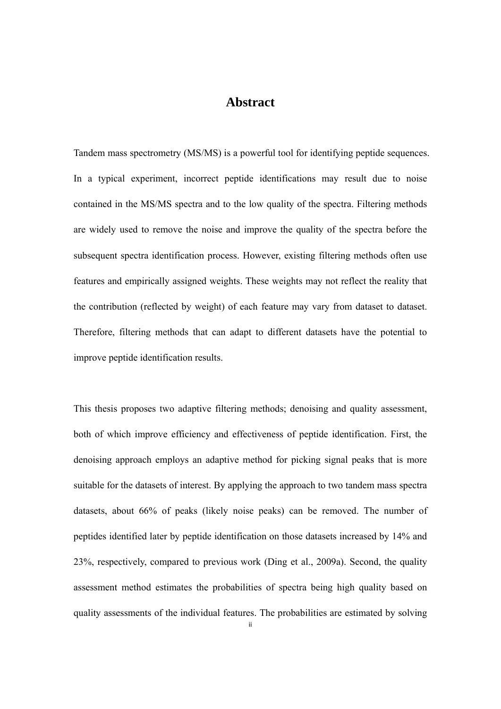### **Abstract**

Tandem mass spectrometry (MS/MS) is a powerful tool for identifying peptide sequences. In a typical experiment, incorrect peptide identifications may result due to noise contained in the MS/MS spectra and to the low quality of the spectra. Filtering methods are widely used to remove the noise and improve the quality of the spectra before the subsequent spectra identification process. However, existing filtering methods often use features and empirically assigned weights. These weights may not reflect the reality that the contribution (reflected by weight) of each feature may vary from dataset to dataset. Therefore, filtering methods that can adapt to different datasets have the potential to improve peptide identification results.

This thesis proposes two adaptive filtering methods; denoising and quality assessment, both of which improve efficiency and effectiveness of peptide identification. First, the denoising approach employs an adaptive method for picking signal peaks that is more suitable for the datasets of interest. By applying the approach to two tandem mass spectra datasets, about 66% of peaks (likely noise peaks) can be removed. The number of peptides identified later by peptide identification on those datasets increased by 14% and 23%, respectively, compared to previous work (Ding et al., 2009a). Second, the quality assessment method estimates the probabilities of spectra being high quality based on quality assessments of the individual features. The probabilities are estimated by solving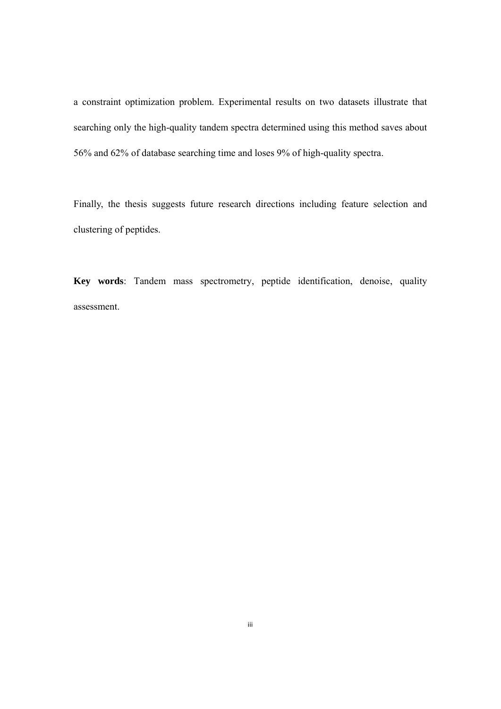a constraint optimization problem. Experimental results on two datasets illustrate that searching only the high-quality tandem spectra determined using this method saves about 56% and 62% of database searching time and loses 9% of high-quality spectra.

Finally, the thesis suggests future research directions including feature selection and clustering of peptides.

**Key words**: Tandem mass spectrometry, peptide identification, denoise, quality assessment.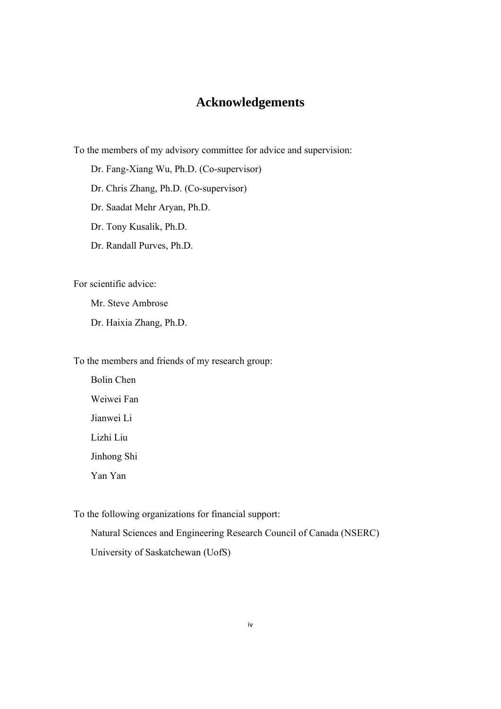## **Acknowledgements**

To the members of my advisory committee for advice and supervision:

Dr. Fang-Xiang Wu, Ph.D. (Co-supervisor)

Dr. Chris Zhang, Ph.D. (Co-supervisor)

Dr. Saadat Mehr Aryan, Ph.D.

Dr. Tony Kusalik, Ph.D.

Dr. Randall Purves, Ph.D.

For scientific advice:

Mr. Steve Ambrose

Dr. Haixia Zhang, Ph.D.

To the members and friends of my research group:

Bolin Chen Weiwei Fan Jianwei Li Lizhi Liu Jinhong Shi Yan Yan

To the following organizations for financial support:

Natural Sciences and Engineering Research Council of Canada (NSERC) University of Saskatchewan (UofS)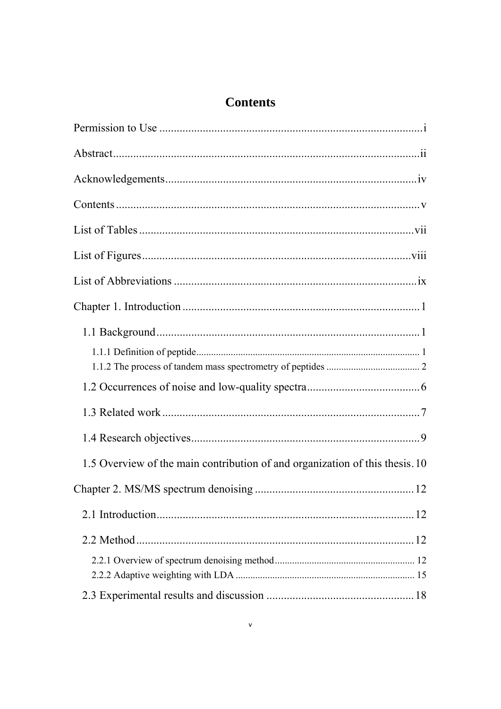## **Contents**

| $Contents \dots 1.10$                                                        |  |
|------------------------------------------------------------------------------|--|
|                                                                              |  |
|                                                                              |  |
|                                                                              |  |
|                                                                              |  |
|                                                                              |  |
|                                                                              |  |
|                                                                              |  |
|                                                                              |  |
|                                                                              |  |
| 1.5 Overview of the main contribution of and organization of this thesis. 10 |  |
|                                                                              |  |
|                                                                              |  |
|                                                                              |  |
|                                                                              |  |
|                                                                              |  |
|                                                                              |  |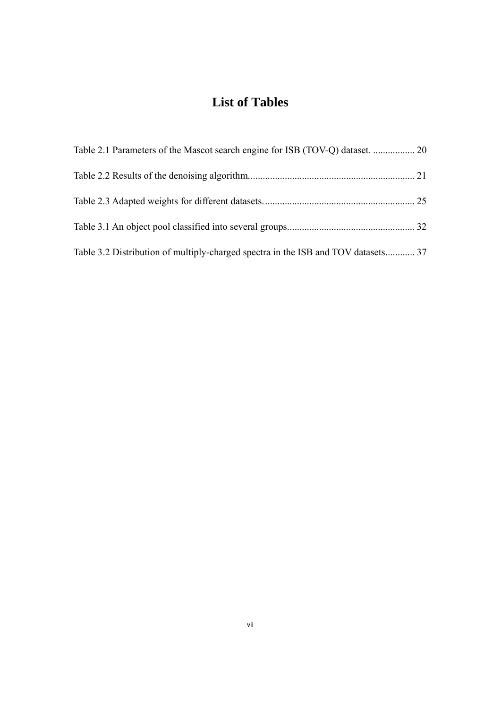## **List of Tables**

| Table 3.2 Distribution of multiply-charged spectra in the ISB and TOV datasets 37 |  |
|-----------------------------------------------------------------------------------|--|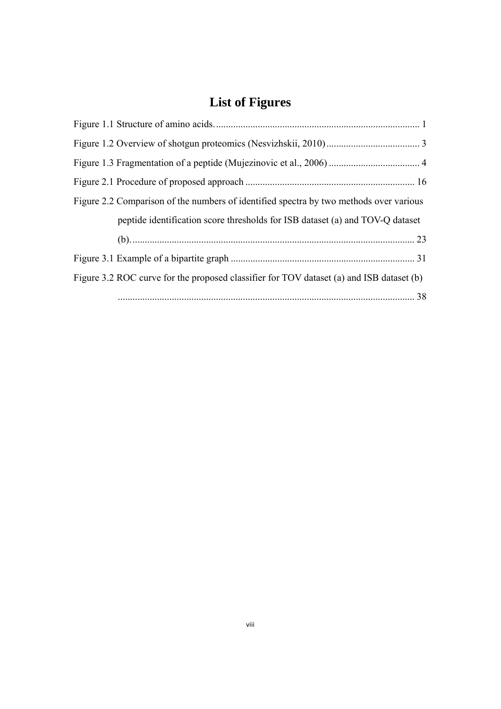## **List of Figures**

| Figure 2.2 Comparison of the numbers of identified spectra by two methods over various   |  |
|------------------------------------------------------------------------------------------|--|
| peptide identification score thresholds for ISB dataset (a) and TOV-Q dataset            |  |
|                                                                                          |  |
|                                                                                          |  |
| Figure 3.2 ROC curve for the proposed classifier for TOV dataset (a) and ISB dataset (b) |  |
|                                                                                          |  |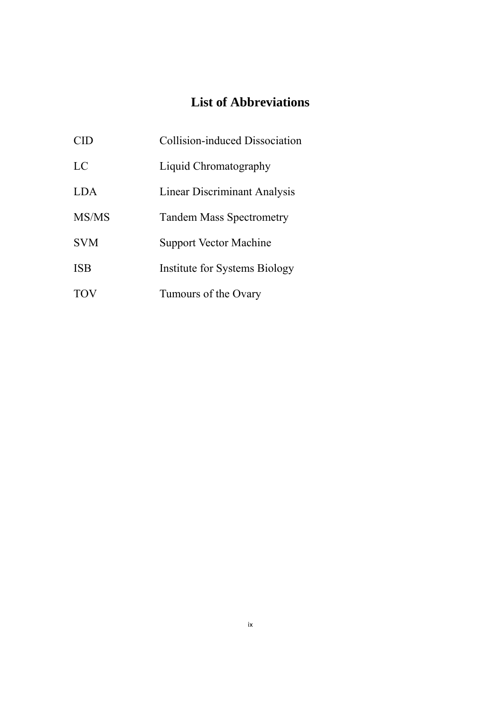## **List of Abbreviations**

| CID        | Collision-induced Dissociation      |
|------------|-------------------------------------|
| LC         | Liquid Chromatography               |
| LDA        | <b>Linear Discriminant Analysis</b> |
| MS/MS      | <b>Tandem Mass Spectrometry</b>     |
| <b>SVM</b> | <b>Support Vector Machine</b>       |
| ISB        | Institute for Systems Biology       |
| <b>TOV</b> | Tumours of the Ovary                |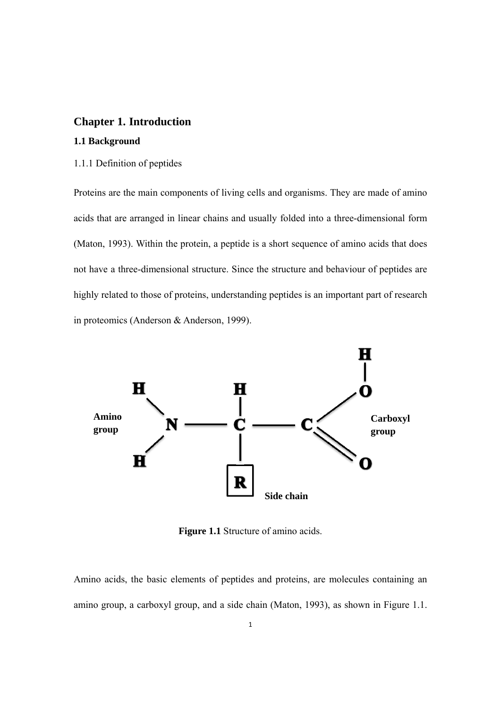#### **Chapter 1. Introduction**

#### **1.1 Background**

#### 1.1.1 Definition of peptides

Proteins are the main components of living cells and organisms. They are made of amino acids that are arranged in linear chains and usually folded into a three-dimensional form (Maton, 1993). Within the protein, a peptide is a short sequence of amino acids that does not have a three-dimensional structure. Since the structure and behaviour of peptides are highly related to those of proteins, understanding peptides is an important part of research in proteomics (Anderson & Anderson, 1999).



**Figure 1.1** Structure of amino acids.

Amino acids, the basic elements of peptides and proteins, are molecules containing an amino group, a carboxyl group, and a side chain (Maton, 1993), as shown in Figure 1.1.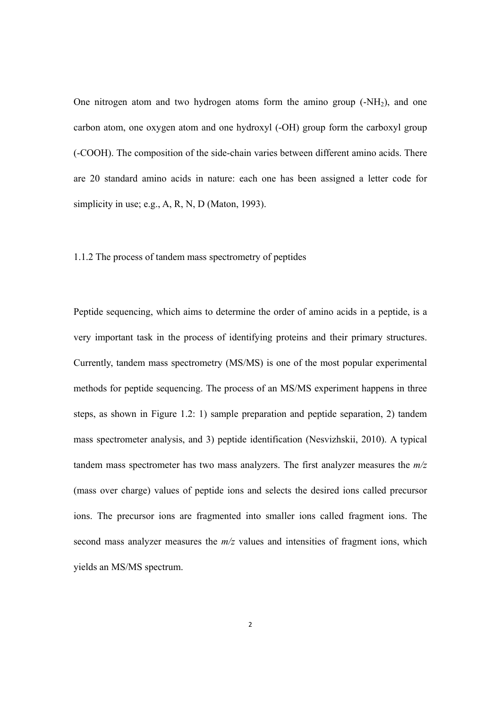One nitrogen atom and two hydrogen atoms form the amino group  $(-NH<sub>2</sub>)$ , and one carbon atom, one oxygen atom and one hydroxyl (-OH) group form the carboxyl group (-COOH). The composition of the side-chain varies between different amino acids. There are 20 standard amino acids in nature: each one has been assigned a letter code for simplicity in use; e.g., A, R, N, D (Maton, 1993).

#### 1.1.2 The process of tandem mass spectrometry of peptides

Peptide sequencing, which aims to determine the order of amino acids in a peptide, is a very important task in the process of identifying proteins and their primary structures. Currently, tandem mass spectrometry (MS/MS) is one of the most popular experimental methods for peptide sequencing. The process of an MS/MS experiment happens in three steps, as shown in Figure 1.2: 1) sample preparation and peptide separation, 2) tandem mass spectrometer analysis, and 3) peptide identification (Nesvizhskii, 2010). A typical tandem mass spectrometer has two mass analyzers. The first analyzer measures the *m/z* (mass over charge) values of peptide ions and selects the desired ions called precursor ions. The precursor ions are fragmented into smaller ions called fragment ions. The second mass analyzer measures the  $m/z$  values and intensities of fragment ions, which yields an MS/MS spectrum.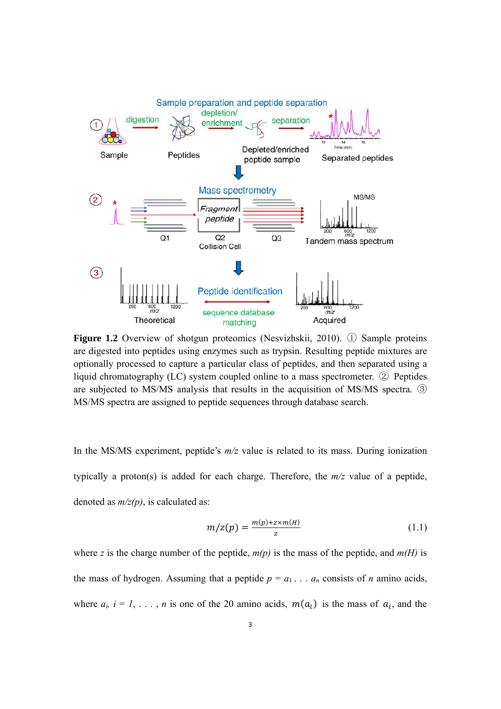

**Figure 1.2** Overview of shotgun proteomics (Nesvizhskii, 2010). ① Sample proteins are digested into peptides using enzymes such as trypsin. Resulting peptide mixtures are optionally processed to capture a particular class of peptides, and then separated using a liquid chromatography (LC) system coupled online to a mass spectrometer. ② Peptides are subjected to MS/MS analysis that results in the acquisition of MS/MS spectra. ③ MS/MS spectra are assigned to peptide sequences through database search.

In the MS/MS experiment, peptide's *m/z* value is related to its mass. During ionization typically a proton(s) is added for each charge. Therefore, the *m/z* value of a peptide, denoted as *m/z(p)*, is calculated as:

$$
m/z(p) = \frac{m(p) + z \times m(H)}{z} \tag{1.1}
$$

where *z* is the charge number of the peptide,  $m(p)$  is the mass of the peptide, and  $m(H)$  is the mass of hydrogen. Assuming that a peptide  $p = a_1 \ldots a_n$  consists of *n* amino acids, where  $a_i$ ,  $i = 1, \ldots, n$  is one of the 20 amino acids,  $m(a_i)$  is the mass of  $a_i$ , and the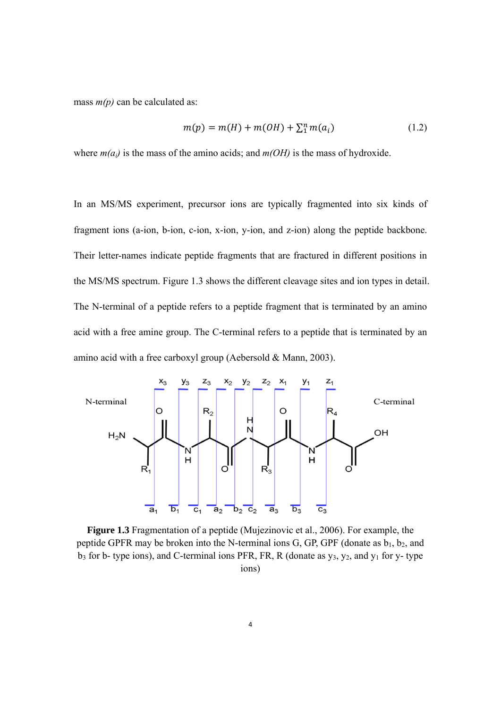mass  $m(p)$  can be calculated as:

$$
m(p) = m(H) + m(OH) + \sum_{i=1}^{n} m(a_i)
$$
 (1.2)

where  $m(a_i)$  is the mass of the amino acids; and  $m(OH)$  is the mass of hydroxide.

In an MS/MS experiment, precursor ions are typically fragmented into six kinds of fragment ions (a-ion, b-ion, c-ion, x-ion, y-ion, and z-ion) along the peptide backbone. Their letter-names indicate peptide fragments that are fractured in different positions in the MS/MS spectrum. Figure 1.3 shows the different cleavage sites and ion types in detail. The N-terminal of a peptide refers to a peptide fragment that is terminated by an amino acid with a free amine group. The C-terminal refers to a peptide that is terminated by an amino acid with a free carboxyl group (Aebersold & Mann, 2003).



**Figure 1.3** Fragmentation of a peptide (Mujezinovic et al., 2006). For example, the peptide GPFR may be broken into the N-terminal ions G, GP, GPF (donate as  $b_1$ ,  $b_2$ , and  $b_3$  for b- type ions), and C-terminal ions PFR, FR, R (donate as  $y_3$ ,  $y_2$ , and  $y_1$  for y- type ions)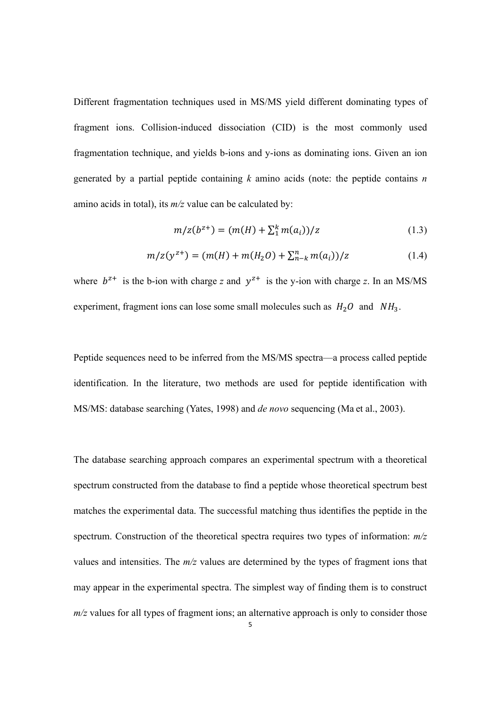Different fragmentation techniques used in MS/MS yield different dominating types of fragment ions. Collision-induced dissociation (CID) is the most commonly used fragmentation technique, and yields b-ions and y-ions as dominating ions. Given an ion generated by a partial peptide containing *k* amino acids (note: the peptide contains *n* amino acids in total), its *m/z* value can be calculated by:

$$
m/z(b^{z+}) = (m(H) + \sum_{i=1}^{k} m(a_i))/z
$$
\n(1.3)

$$
m/z(y^{z+}) = (m(H) + m(H_2O) + \sum_{n=k}^{n} m(a_i))/z
$$
\n(1.4)

where  $b^{z+}$  is the b-ion with charge *z* and  $y^{z+}$  is the y-ion with charge *z*. In an MS/MS experiment, fragment ions can lose some small molecules such as  $H_2O$  and  $NH_3$ .

Peptide sequences need to be inferred from the MS/MS spectra—a process called peptide identification. In the literature, two methods are used for peptide identification with MS/MS: database searching (Yates, 1998) and *de novo* sequencing (Ma et al., 2003).

The database searching approach compares an experimental spectrum with a theoretical spectrum constructed from the database to find a peptide whose theoretical spectrum best matches the experimental data. The successful matching thus identifies the peptide in the spectrum. Construction of the theoretical spectra requires two types of information: *m/z* values and intensities. The *m/z* values are determined by the types of fragment ions that may appear in the experimental spectra. The simplest way of finding them is to construct *m/z* values for all types of fragment ions; an alternative approach is only to consider those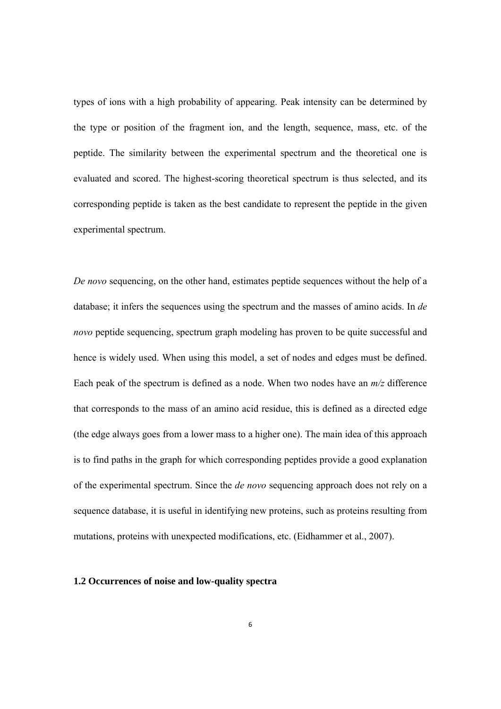types of ions with a high probability of appearing. Peak intensity can be determined by the type or position of the fragment ion, and the length, sequence, mass, etc. of the peptide. The similarity between the experimental spectrum and the theoretical one is evaluated and scored. The highest-scoring theoretical spectrum is thus selected, and its corresponding peptide is taken as the best candidate to represent the peptide in the given experimental spectrum.

*De novo* sequencing, on the other hand, estimates peptide sequences without the help of a database; it infers the sequences using the spectrum and the masses of amino acids. In *de novo* peptide sequencing, spectrum graph modeling has proven to be quite successful and hence is widely used. When using this model, a set of nodes and edges must be defined. Each peak of the spectrum is defined as a node. When two nodes have an *m/z* difference that corresponds to the mass of an amino acid residue, this is defined as a directed edge (the edge always goes from a lower mass to a higher one). The main idea of this approach is to find paths in the graph for which corresponding peptides provide a good explanation of the experimental spectrum. Since the *de novo* sequencing approach does not rely on a sequence database, it is useful in identifying new proteins, such as proteins resulting from mutations, proteins with unexpected modifications, etc. (Eidhammer et al., 2007).

#### **1.2 Occurrences of noise and low-quality spectra**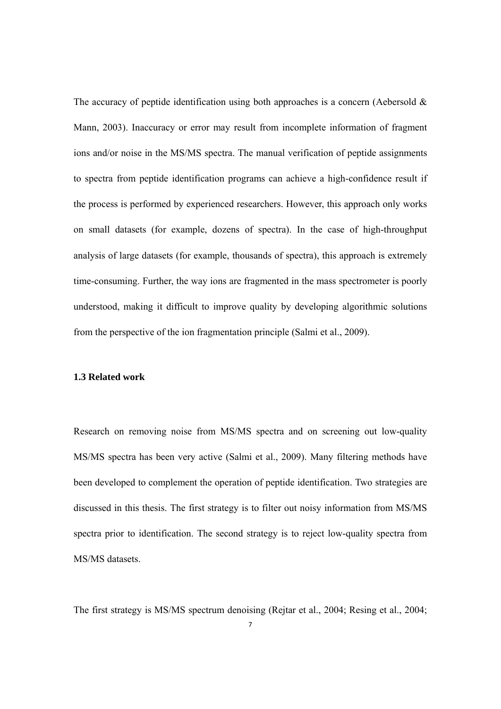The accuracy of peptide identification using both approaches is a concern (Aebersold  $\&$ Mann, 2003). Inaccuracy or error may result from incomplete information of fragment ions and/or noise in the MS/MS spectra. The manual verification of peptide assignments to spectra from peptide identification programs can achieve a high-confidence result if the process is performed by experienced researchers. However, this approach only works on small datasets (for example, dozens of spectra). In the case of high-throughput analysis of large datasets (for example, thousands of spectra), this approach is extremely time-consuming. Further, the way ions are fragmented in the mass spectrometer is poorly understood, making it difficult to improve quality by developing algorithmic solutions from the perspective of the ion fragmentation principle (Salmi et al., 2009).

#### **1.3 Related work**

Research on removing noise from MS/MS spectra and on screening out low-quality MS/MS spectra has been very active (Salmi et al., 2009). Many filtering methods have been developed to complement the operation of peptide identification. Two strategies are discussed in this thesis. The first strategy is to filter out noisy information from MS/MS spectra prior to identification. The second strategy is to reject low-quality spectra from MS/MS datasets.

The first strategy is MS/MS spectrum denoising (Rejtar et al., 2004; Resing et al., 2004;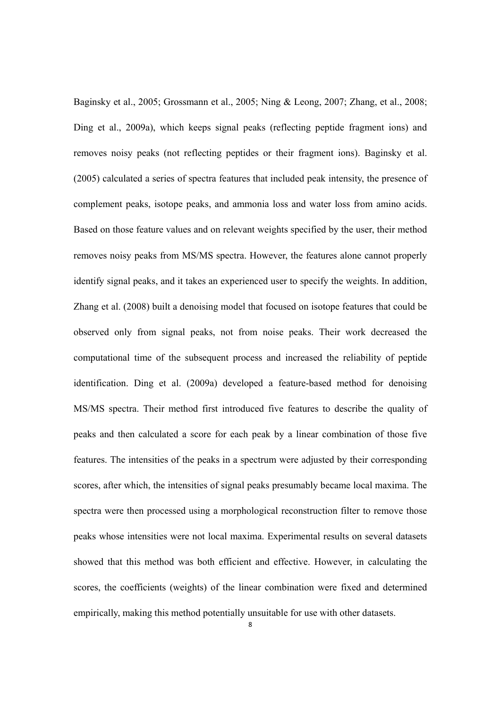Baginsky et al., 2005; Grossmann et al., 2005; Ning & Leong, 2007; Zhang, et al., 2008; Ding et al., 2009a), which keeps signal peaks (reflecting peptide fragment ions) and removes noisy peaks (not reflecting peptides or their fragment ions). Baginsky et al. (2005) calculated a series of spectra features that included peak intensity, the presence of complement peaks, isotope peaks, and ammonia loss and water loss from amino acids. Based on those feature values and on relevant weights specified by the user, their method removes noisy peaks from MS/MS spectra. However, the features alone cannot properly identify signal peaks, and it takes an experienced user to specify the weights. In addition, Zhang et al. (2008) built a denoising model that focused on isotope features that could be observed only from signal peaks, not from noise peaks. Their work decreased the computational time of the subsequent process and increased the reliability of peptide identification. Ding et al. (2009a) developed a feature-based method for denoising MS/MS spectra. Their method first introduced five features to describe the quality of peaks and then calculated a score for each peak by a linear combination of those five features. The intensities of the peaks in a spectrum were adjusted by their corresponding scores, after which, the intensities of signal peaks presumably became local maxima. The spectra were then processed using a morphological reconstruction filter to remove those peaks whose intensities were not local maxima. Experimental results on several datasets showed that this method was both efficient and effective. However, in calculating the scores, the coefficients (weights) of the linear combination were fixed and determined empirically, making this method potentially unsuitable for use with other datasets.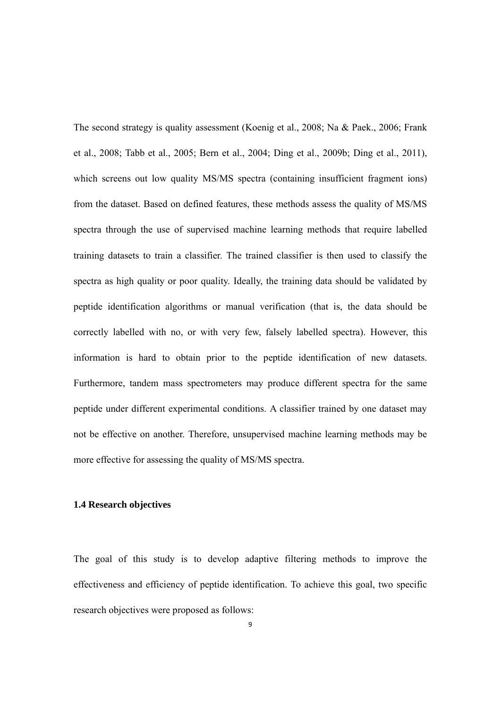The second strategy is quality assessment (Koenig et al., 2008; Na & Paek., 2006; Frank et al., 2008; Tabb et al., 2005; Bern et al., 2004; Ding et al., 2009b; Ding et al., 2011), which screens out low quality MS/MS spectra (containing insufficient fragment ions) from the dataset. Based on defined features, these methods assess the quality of MS/MS spectra through the use of supervised machine learning methods that require labelled training datasets to train a classifier. The trained classifier is then used to classify the spectra as high quality or poor quality. Ideally, the training data should be validated by peptide identification algorithms or manual verification (that is, the data should be correctly labelled with no, or with very few, falsely labelled spectra). However, this information is hard to obtain prior to the peptide identification of new datasets. Furthermore, tandem mass spectrometers may produce different spectra for the same peptide under different experimental conditions. A classifier trained by one dataset may not be effective on another. Therefore, unsupervised machine learning methods may be more effective for assessing the quality of MS/MS spectra.

#### **1.4 Research objectives**

The goal of this study is to develop adaptive filtering methods to improve the effectiveness and efficiency of peptide identification. To achieve this goal, two specific research objectives were proposed as follows: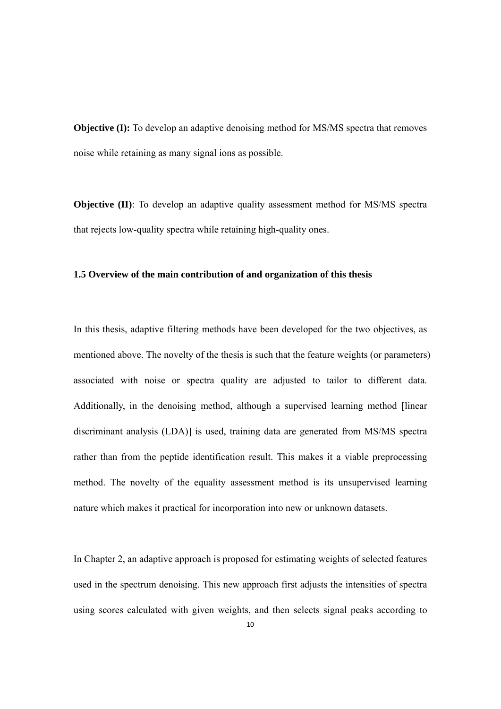**Objective (I):** To develop an adaptive denoising method for MS/MS spectra that removes noise while retaining as many signal ions as possible.

**Objective (II)**: To develop an adaptive quality assessment method for MS/MS spectra that rejects low-quality spectra while retaining high-quality ones.

#### **1.5 Overview of the main contribution of and organization of this thesis**

In this thesis, adaptive filtering methods have been developed for the two objectives, as mentioned above. The novelty of the thesis is such that the feature weights (or parameters) associated with noise or spectra quality are adjusted to tailor to different data. Additionally, in the denoising method, although a supervised learning method [linear discriminant analysis (LDA)] is used, training data are generated from MS/MS spectra rather than from the peptide identification result. This makes it a viable preprocessing method. The novelty of the equality assessment method is its unsupervised learning nature which makes it practical for incorporation into new or unknown datasets.

In Chapter 2, an adaptive approach is proposed for estimating weights of selected features used in the spectrum denoising. This new approach first adjusts the intensities of spectra using scores calculated with given weights, and then selects signal peaks according to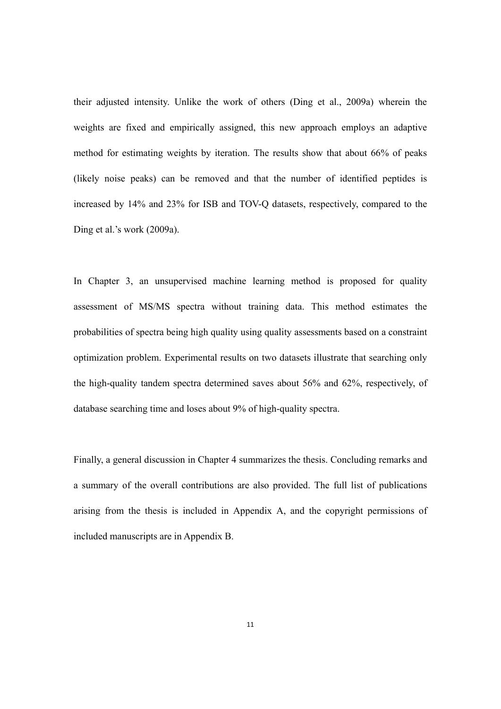their adjusted intensity. Unlike the work of others (Ding et al., 2009a) wherein the weights are fixed and empirically assigned, this new approach employs an adaptive method for estimating weights by iteration. The results show that about 66% of peaks (likely noise peaks) can be removed and that the number of identified peptides is increased by 14% and 23% for ISB and TOV-Q datasets, respectively, compared to the Ding et al.'s work (2009a).

In Chapter 3, an unsupervised machine learning method is proposed for quality assessment of MS/MS spectra without training data. This method estimates the probabilities of spectra being high quality using quality assessments based on a constraint optimization problem. Experimental results on two datasets illustrate that searching only the high-quality tandem spectra determined saves about 56% and 62%, respectively, of database searching time and loses about 9% of high-quality spectra.

Finally, a general discussion in Chapter 4 summarizes the thesis. Concluding remarks and a summary of the overall contributions are also provided. The full list of publications arising from the thesis is included in Appendix A, and the copyright permissions of included manuscripts are in Appendix B.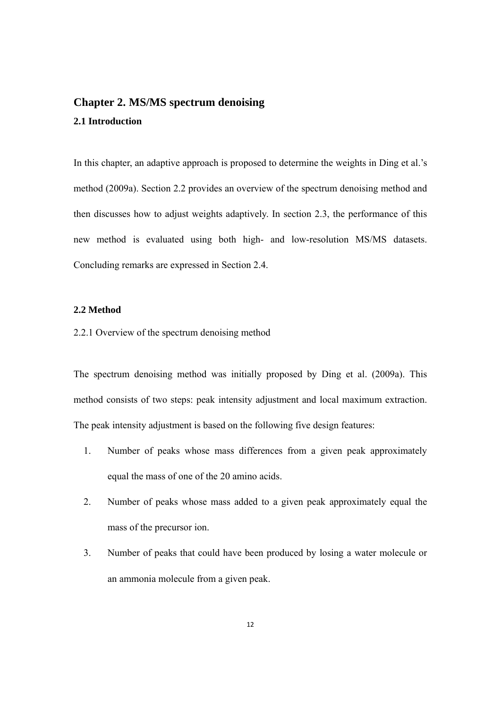## **Chapter 2. MS/MS spectrum denoising 2.1 Introduction**

In this chapter, an adaptive approach is proposed to determine the weights in Ding et al.'s method (2009a). Section 2.2 provides an overview of the spectrum denoising method and then discusses how to adjust weights adaptively. In section 2.3, the performance of this new method is evaluated using both high- and low-resolution MS/MS datasets. Concluding remarks are expressed in Section 2.4.

#### **2.2 Method**

2.2.1 Overview of the spectrum denoising method

The spectrum denoising method was initially proposed by Ding et al. (2009a). This method consists of two steps: peak intensity adjustment and local maximum extraction. The peak intensity adjustment is based on the following five design features:

- 1. Number of peaks whose mass differences from a given peak approximately equal the mass of one of the 20 amino acids.
- 2. Number of peaks whose mass added to a given peak approximately equal the mass of the precursor ion.
- 3. Number of peaks that could have been produced by losing a water molecule or an ammonia molecule from a given peak.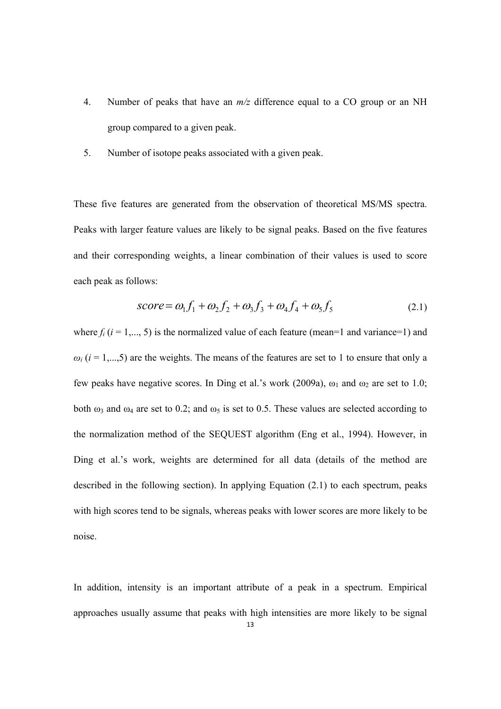- 4. Number of peaks that have an *m/z* difference equal to a CO group or an NH group compared to a given peak.
- 5. Number of isotope peaks associated with a given peak.

These five features are generated from the observation of theoretical MS/MS spectra. Peaks with larger feature values are likely to be signal peaks. Based on the five features and their corresponding weights, a linear combination of their values is used to score each peak as follows:

$$
score = \omega_1 f_1 + \omega_2 f_2 + \omega_3 f_3 + \omega_4 f_4 + \omega_5 f_5 \tag{2.1}
$$

where  $f_i$  ( $i = 1,..., 5$ ) is the normalized value of each feature (mean=1 and variance=1) and  $\omega_i$  ( $i = 1,...,5$ ) are the weights. The means of the features are set to 1 to ensure that only a few peaks have negative scores. In Ding et al.'s work (2009a),  $\omega_1$  and  $\omega_2$  are set to 1.0; both  $\omega_3$  and  $\omega_4$  are set to 0.2; and  $\omega_5$  is set to 0.5. These values are selected according to the normalization method of the SEQUEST algorithm (Eng et al., 1994). However, in Ding et al.'s work, weights are determined for all data (details of the method are described in the following section). In applying Equation (2.1) to each spectrum, peaks with high scores tend to be signals, whereas peaks with lower scores are more likely to be noise.

In addition, intensity is an important attribute of a peak in a spectrum. Empirical approaches usually assume that peaks with high intensities are more likely to be signal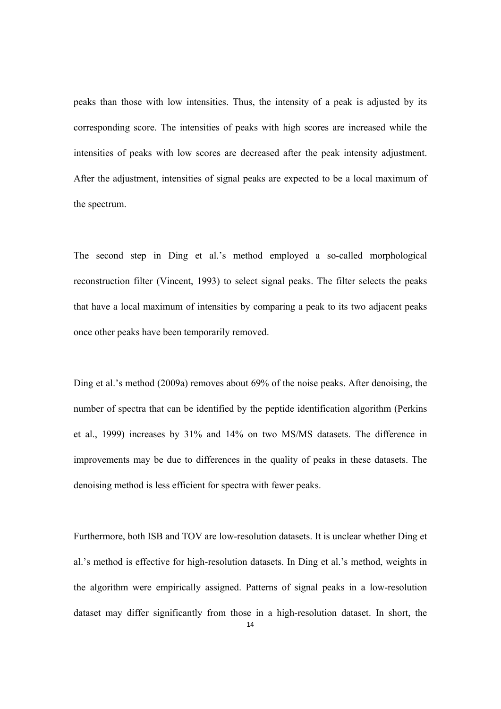peaks than those with low intensities. Thus, the intensity of a peak is adjusted by its corresponding score. The intensities of peaks with high scores are increased while the intensities of peaks with low scores are decreased after the peak intensity adjustment. After the adjustment, intensities of signal peaks are expected to be a local maximum of the spectrum.

The second step in Ding et al.'s method employed a so-called morphological reconstruction filter (Vincent, 1993) to select signal peaks. The filter selects the peaks that have a local maximum of intensities by comparing a peak to its two adjacent peaks once other peaks have been temporarily removed.

Ding et al.'s method (2009a) removes about 69% of the noise peaks. After denoising, the number of spectra that can be identified by the peptide identification algorithm (Perkins et al., 1999) increases by 31% and 14% on two MS/MS datasets. The difference in improvements may be due to differences in the quality of peaks in these datasets. The denoising method is less efficient for spectra with fewer peaks.

Furthermore, both ISB and TOV are low-resolution datasets. It is unclear whether Ding et al.'s method is effective for high-resolution datasets. In Ding et al.'s method, weights in the algorithm were empirically assigned. Patterns of signal peaks in a low-resolution dataset may differ significantly from those in a high-resolution dataset. In short, the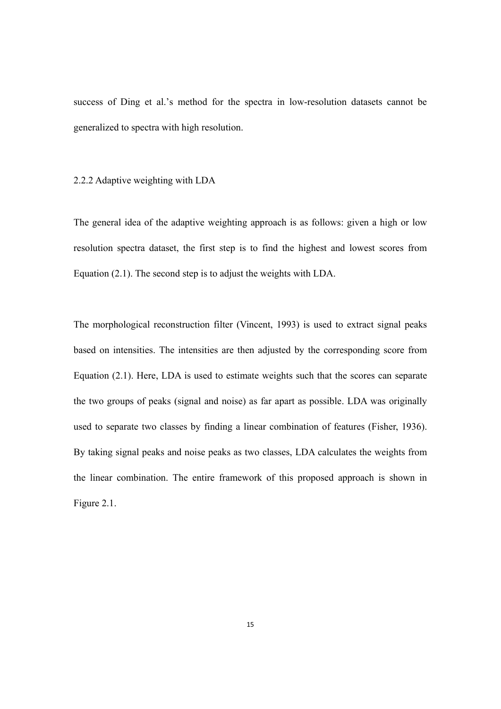success of Ding et al.'s method for the spectra in low-resolution datasets cannot be generalized to spectra with high resolution.

#### 2.2.2 Adaptive weighting with LDA

The general idea of the adaptive weighting approach is as follows: given a high or low resolution spectra dataset, the first step is to find the highest and lowest scores from Equation (2.1). The second step is to adjust the weights with LDA.

The morphological reconstruction filter (Vincent, 1993) is used to extract signal peaks based on intensities. The intensities are then adjusted by the corresponding score from Equation (2.1). Here, LDA is used to estimate weights such that the scores can separate the two groups of peaks (signal and noise) as far apart as possible. LDA was originally used to separate two classes by finding a linear combination of features (Fisher, 1936). By taking signal peaks and noise peaks as two classes, LDA calculates the weights from the linear combination. The entire framework of this proposed approach is shown in Figure 2.1.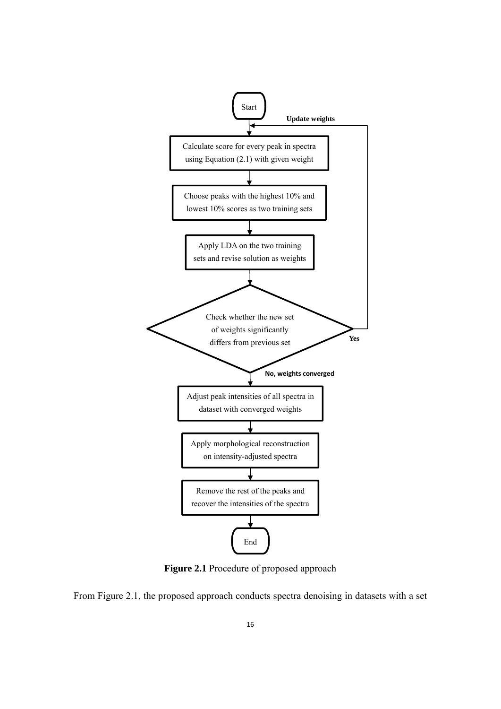

**Figure 2.1** Procedure of proposed approach

From Figure 2.1, the proposed approach conducts spectra denoising in datasets with a set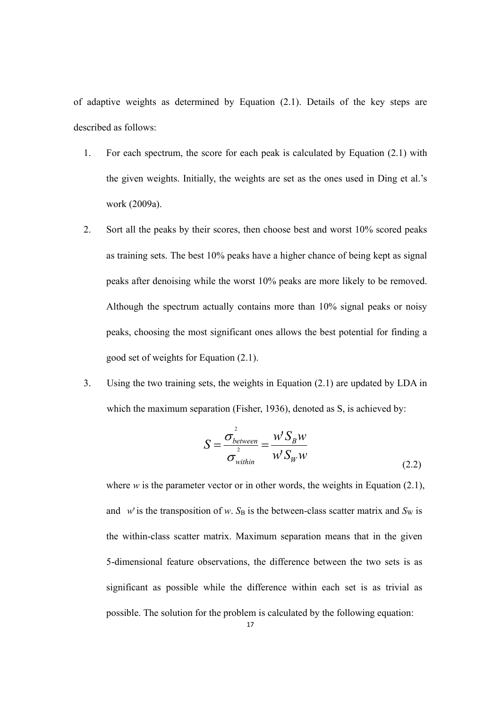of adaptive weights as determined by Equation (2.1). Details of the key steps are described as follows:

- 1. For each spectrum, the score for each peak is calculated by Equation (2.1) with the given weights. Initially, the weights are set as the ones used in Ding et al.'s work (2009a).
- 2. Sort all the peaks by their scores, then choose best and worst 10% scored peaks as training sets. The best 10% peaks have a higher chance of being kept as signal peaks after denoising while the worst 10% peaks are more likely to be removed. Although the spectrum actually contains more than 10% signal peaks or noisy peaks, choosing the most significant ones allows the best potential for finding a good set of weights for Equation (2.1).
- 3. Using the two training sets, the weights in Equation (2.1) are updated by LDA in which the maximum separation (Fisher, 1936), denoted as S, is achieved by:

$$
S = \frac{\sigma_{between}^2}{\sigma_{within}^2} = \frac{W'S_B W}{W'S_W W}
$$
\n(2.2)

where  $w$  is the parameter vector or in other words, the weights in Equation (2.1), and *w*' is the transposition of *w*.  $S_B$  is the between-class scatter matrix and  $S_W$  is the within-class scatter matrix. Maximum separation means that in the given 5-dimensional feature observations, the difference between the two sets is as significant as possible while the difference within each set is as trivial as possible. The solution for the problem is calculated by the following equation: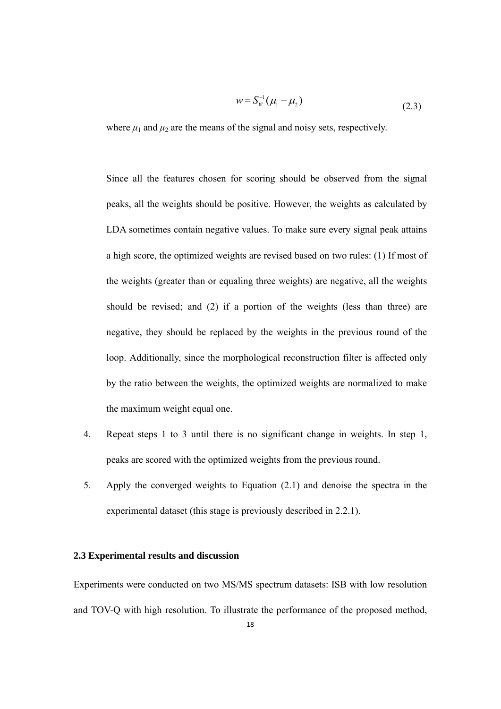$$
w = S_W^{-1}(\mu_1 - \mu_2) \tag{2.3}
$$

where  $\mu_1$  and  $\mu_2$  are the means of the signal and noisy sets, respectively.

Since all the features chosen for scoring should be observed from the signal peaks, all the weights should be positive. However, the weights as calculated by LDA sometimes contain negative values. To make sure every signal peak attains a high score, the optimized weights are revised based on two rules: (1) If most of the weights (greater than or equaling three weights) are negative, all the weights should be revised; and (2) if a portion of the weights (less than three) are negative, they should be replaced by the weights in the previous round of the loop. Additionally, since the morphological reconstruction filter is affected only by the ratio between the weights, the optimized weights are normalized to make the maximum weight equal one.

- 4. Repeat steps 1 to 3 until there is no significant change in weights. In step 1, peaks are scored with the optimized weights from the previous round.
- 5. Apply the converged weights to Equation (2.1) and denoise the spectra in the experimental dataset (this stage is previously described in 2.2.1).

#### **2.3 Experimental results and discussion**

Experiments were conducted on two MS/MS spectrum datasets: ISB with low resolution and TOV-Q with high resolution. To illustrate the performance of the proposed method,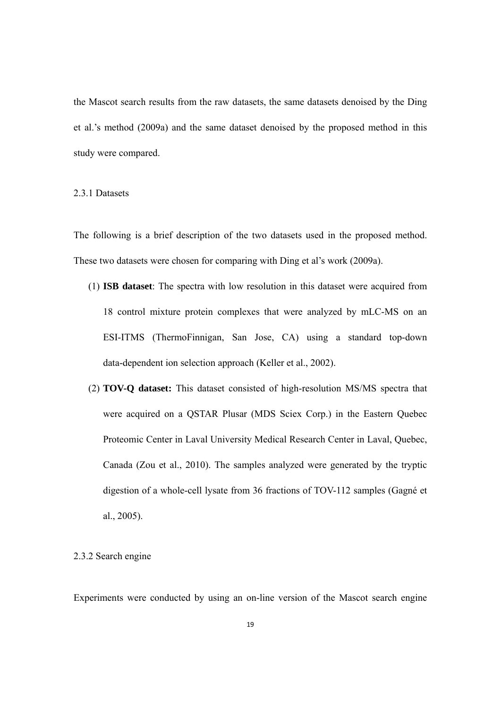the Mascot search results from the raw datasets, the same datasets denoised by the Ding et al.'s method (2009a) and the same dataset denoised by the proposed method in this study were compared.

#### 2.3.1 Datasets

The following is a brief description of the two datasets used in the proposed method. These two datasets were chosen for comparing with Ding et al's work (2009a).

- (1) **ISB dataset**: The spectra with low resolution in this dataset were acquired from 18 control mixture protein complexes that were analyzed by mLC-MS on an ESI-ITMS (ThermoFinnigan, San Jose, CA) using a standard top-down data-dependent ion selection approach (Keller et al., 2002).
- (2) **TOV-Q dataset:** This dataset consisted of high-resolution MS/MS spectra that were acquired on a QSTAR Plusar (MDS Sciex Corp.) in the Eastern Quebec Proteomic Center in Laval University Medical Research Center in Laval, Quebec, Canada (Zou et al., 2010). The samples analyzed were generated by the tryptic digestion of a whole-cell lysate from 36 fractions of TOV-112 samples (Gagné et al., 2005).

#### 2.3.2 Search engine

Experiments were conducted by using an on-line version of the Mascot search engine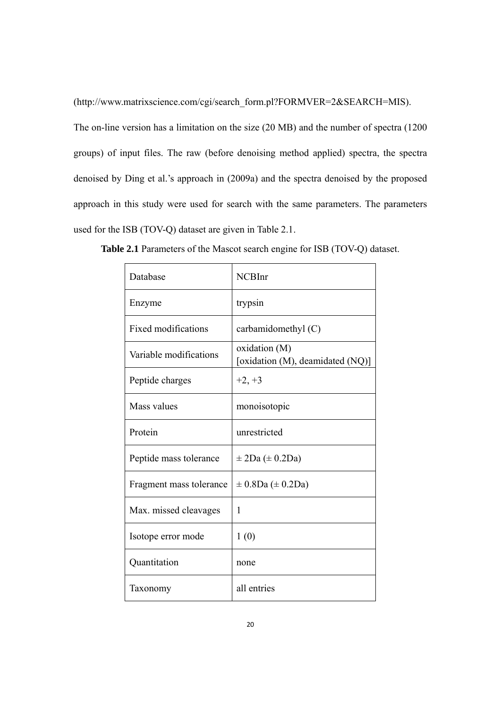(http://www.matrixscience.com/cgi/search\_form.pl?FORMVER=2&SEARCH=MIS).

The on-line version has a limitation on the size (20 MB) and the number of spectra (1200 groups) of input files. The raw (before denoising method applied) spectra, the spectra denoised by Ding et al.'s approach in (2009a) and the spectra denoised by the proposed approach in this study were used for search with the same parameters. The parameters used for the ISB (TOV-Q) dataset are given in Table 2.1.

| Database                   | <b>NCBInr</b>                                     |
|----------------------------|---------------------------------------------------|
| Enzyme                     | trypsin                                           |
| <b>Fixed modifications</b> | carbamidomethyl (C)                               |
| Variable modifications     | oxidation (M)<br>[oxidation (M), deamidated (NQ)] |
| Peptide charges            | $+2, +3$                                          |
| Mass values                | monoisotopic                                      |
| Protein                    | unrestricted                                      |
| Peptide mass tolerance     | $\pm$ 2Da ( $\pm$ 0.2Da)                          |
| Fragment mass tolerance    | $\pm$ 0.8Da ( $\pm$ 0.2Da)                        |
| Max. missed cleavages      | 1                                                 |
| Isotope error mode         | 1(0)                                              |
| Quantitation               | none                                              |
| Taxonomy                   | all entries                                       |

**Table 2.1** Parameters of the Mascot search engine for ISB (TOV-Q) dataset.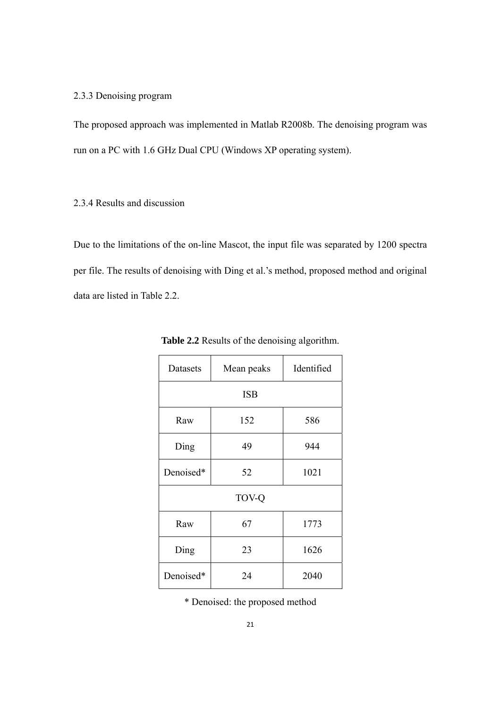#### 2.3.3 Denoising program

The proposed approach was implemented in Matlab R2008b. The denoising program was run on a PC with 1.6 GHz Dual CPU (Windows XP operating system).

#### 2.3.4 Results and discussion

Due to the limitations of the on-line Mascot, the input file was separated by 1200 spectra per file. The results of denoising with Ding et al.'s method, proposed method and original data are listed in Table 2.2.

| Datasets  | Mean peaks | Identified |
|-----------|------------|------------|
|           | <b>ISB</b> |            |
| Raw       | 152        | 586        |
| Ding      | 49         | 944        |
| Denoised* | 52         | 1021       |
| TOV-Q     |            |            |
| Raw       | 67         | 1773       |
| Ding      | 23         | 1626       |
| Denoised* | 24         | 2040       |

**Table 2.2** Results of the denoising algorithm.

\* Denoised: the proposed method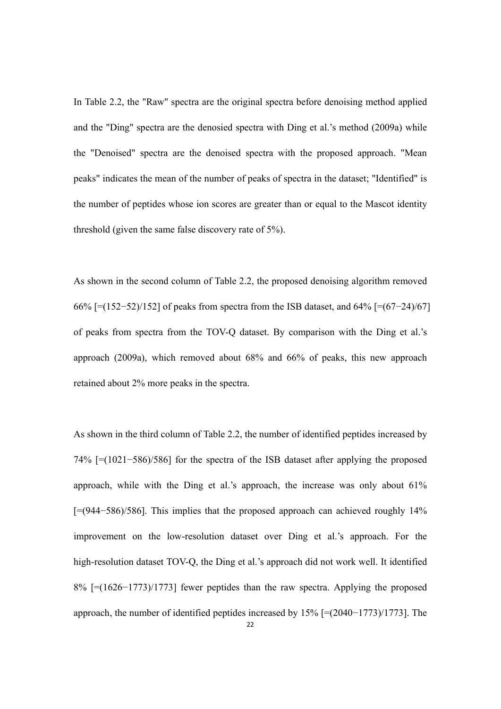In Table 2.2, the "Raw" spectra are the original spectra before denoising method applied and the "Ding" spectra are the denosied spectra with Ding et al.'s method (2009a) while the "Denoised" spectra are the denoised spectra with the proposed approach. "Mean peaks" indicates the mean of the number of peaks of spectra in the dataset; "Identified" is the number of peptides whose ion scores are greater than or equal to the Mascot identity threshold (given the same false discovery rate of 5%).

As shown in the second column of Table 2.2, the proposed denoising algorithm removed 66% [=(152−52)/152] of peaks from spectra from the ISB dataset, and 64% [=(67−24)/67] of peaks from spectra from the TOV-Q dataset. By comparison with the Ding et al.'s approach (2009a), which removed about 68% and 66% of peaks, this new approach retained about 2% more peaks in the spectra.

As shown in the third column of Table 2.2, the number of identified peptides increased by 74% [=(1021−586)/586] for the spectra of the ISB dataset after applying the proposed approach, while with the Ding et al.'s approach, the increase was only about 61% [=(944−586)/586]. This implies that the proposed approach can achieved roughly 14% improvement on the low-resolution dataset over Ding et al.'s approach. For the high-resolution dataset TOV-Q, the Ding et al.'s approach did not work well. It identified 8% [=(1626−1773)/1773] fewer peptides than the raw spectra. Applying the proposed approach, the number of identified peptides increased by 15% [=(2040−1773)/1773]. The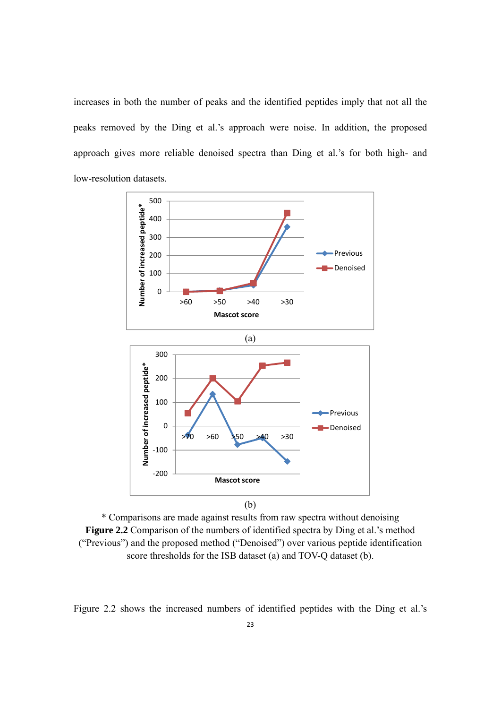increases in both the number of peaks and the identified peptides imply that not all the peaks removed by the Ding et al.'s approach were noise. In addition, the proposed approach gives more reliable denoised spectra than Ding et al.'s for both high- and low-resolution datasets.



\* Comparisons are made against results from raw spectra without denoising **Figure 2.2** Comparison of the numbers of identified spectra by Ding et al.'s method ("Previous") and the proposed method ("Denoised") over various peptide identification score thresholds for the ISB dataset (a) and TOV-Q dataset (b).

Figure 2.2 shows the increased numbers of identified peptides with the Ding et al.'s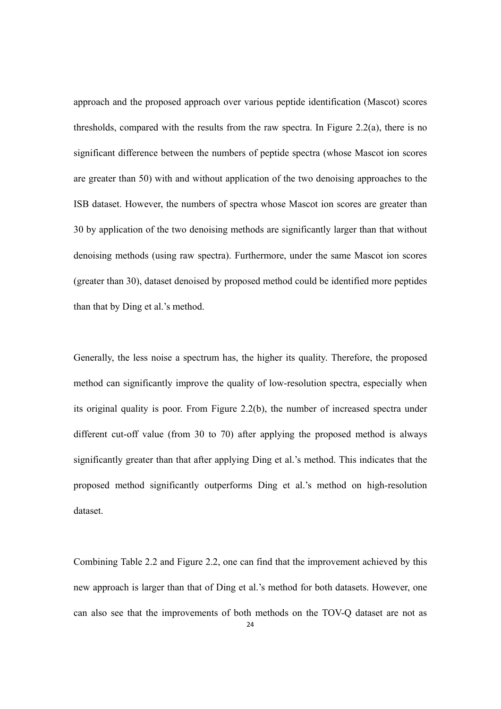approach and the proposed approach over various peptide identification (Mascot) scores thresholds, compared with the results from the raw spectra. In Figure 2.2(a), there is no significant difference between the numbers of peptide spectra (whose Mascot ion scores are greater than 50) with and without application of the two denoising approaches to the ISB dataset. However, the numbers of spectra whose Mascot ion scores are greater than 30 by application of the two denoising methods are significantly larger than that without denoising methods (using raw spectra). Furthermore, under the same Mascot ion scores (greater than 30), dataset denoised by proposed method could be identified more peptides than that by Ding et al.'s method.

Generally, the less noise a spectrum has, the higher its quality. Therefore, the proposed method can significantly improve the quality of low-resolution spectra, especially when its original quality is poor. From Figure 2.2(b), the number of increased spectra under different cut-off value (from 30 to 70) after applying the proposed method is always significantly greater than that after applying Ding et al.'s method. This indicates that the proposed method significantly outperforms Ding et al.'s method on high-resolution dataset.

Combining Table 2.2 and Figure 2.2, one can find that the improvement achieved by this new approach is larger than that of Ding et al.'s method for both datasets. However, one can also see that the improvements of both methods on the TOV-Q dataset are not as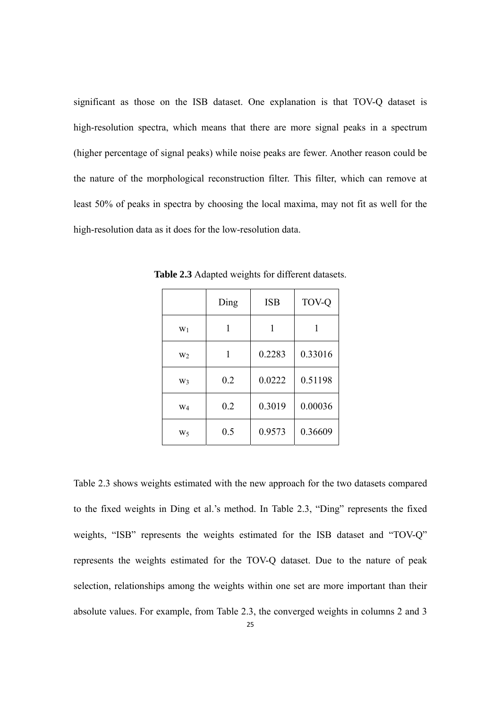significant as those on the ISB dataset. One explanation is that TOV-Q dataset is high-resolution spectra, which means that there are more signal peaks in a spectrum (higher percentage of signal peaks) while noise peaks are fewer. Another reason could be the nature of the morphological reconstruction filter. This filter, which can remove at least 50% of peaks in spectra by choosing the local maxima, may not fit as well for the high-resolution data as it does for the low-resolution data.

|                | Ding | <b>ISB</b> | <b>TOV-Q</b> |
|----------------|------|------------|--------------|
| $W_1$          |      |            |              |
| W <sub>2</sub> | 1    | 0.2283     | 0.33016      |
| W <sub>3</sub> | 0.2  | 0.0222     | 0.51198      |
| W <sub>4</sub> | 0.2  | 0.3019     | 0.00036      |
| W٢             | 0.5  | 0.9573     | 0.36609      |

**Table 2.3** Adapted weights for different datasets.

Table 2.3 shows weights estimated with the new approach for the two datasets compared to the fixed weights in Ding et al.'s method. In Table 2.3, "Ding" represents the fixed weights, "ISB" represents the weights estimated for the ISB dataset and "TOV-Q" represents the weights estimated for the TOV-Q dataset. Due to the nature of peak selection, relationships among the weights within one set are more important than their absolute values. For example, from Table 2.3, the converged weights in columns 2 and 3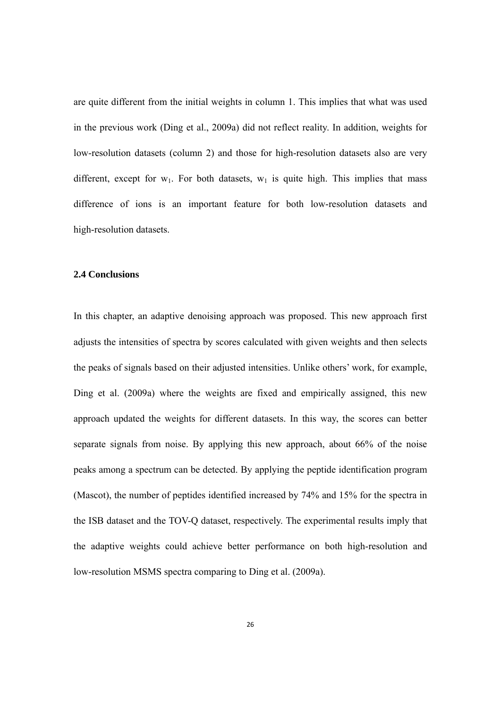are quite different from the initial weights in column 1. This implies that what was used in the previous work (Ding et al., 2009a) did not reflect reality. In addition, weights for low-resolution datasets (column 2) and those for high-resolution datasets also are very different, except for  $w_1$ . For both datasets,  $w_1$  is quite high. This implies that mass difference of ions is an important feature for both low-resolution datasets and high-resolution datasets.

#### **2.4 Conclusions**

In this chapter, an adaptive denoising approach was proposed. This new approach first adjusts the intensities of spectra by scores calculated with given weights and then selects the peaks of signals based on their adjusted intensities. Unlike others' work, for example, Ding et al. (2009a) where the weights are fixed and empirically assigned, this new approach updated the weights for different datasets. In this way, the scores can better separate signals from noise. By applying this new approach, about 66% of the noise peaks among a spectrum can be detected. By applying the peptide identification program (Mascot), the number of peptides identified increased by 74% and 15% for the spectra in the ISB dataset and the TOV-Q dataset, respectively. The experimental results imply that the adaptive weights could achieve better performance on both high-resolution and low-resolution MSMS spectra comparing to Ding et al. (2009a).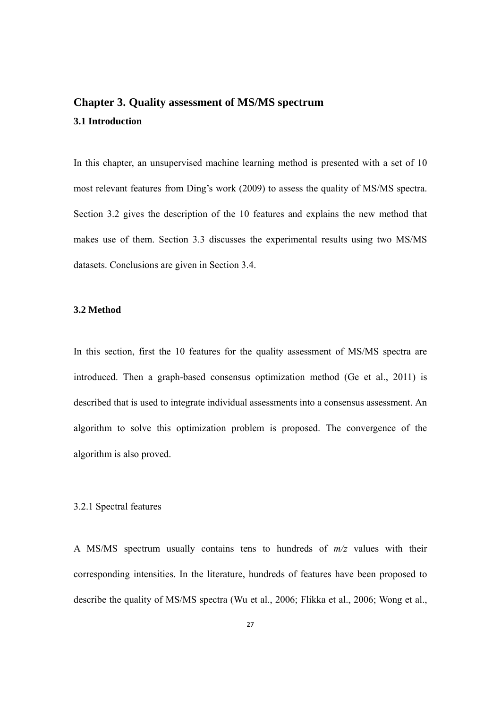## **Chapter 3. Quality assessment of MS/MS spectrum 3.1 Introduction**

In this chapter, an unsupervised machine learning method is presented with a set of 10 most relevant features from Ding's work (2009) to assess the quality of MS/MS spectra. Section 3.2 gives the description of the 10 features and explains the new method that makes use of them. Section 3.3 discusses the experimental results using two MS/MS datasets. Conclusions are given in Section 3.4.

#### **3.2 Method**

In this section, first the 10 features for the quality assessment of MS/MS spectra are introduced. Then a graph-based consensus optimization method (Ge et al., 2011) is described that is used to integrate individual assessments into a consensus assessment. An algorithm to solve this optimization problem is proposed. The convergence of the algorithm is also proved.

#### 3.2.1 Spectral features

A MS/MS spectrum usually contains tens to hundreds of *m/z* values with their corresponding intensities. In the literature, hundreds of features have been proposed to describe the quality of MS/MS spectra (Wu et al., 2006; Flikka et al., 2006; Wong et al.,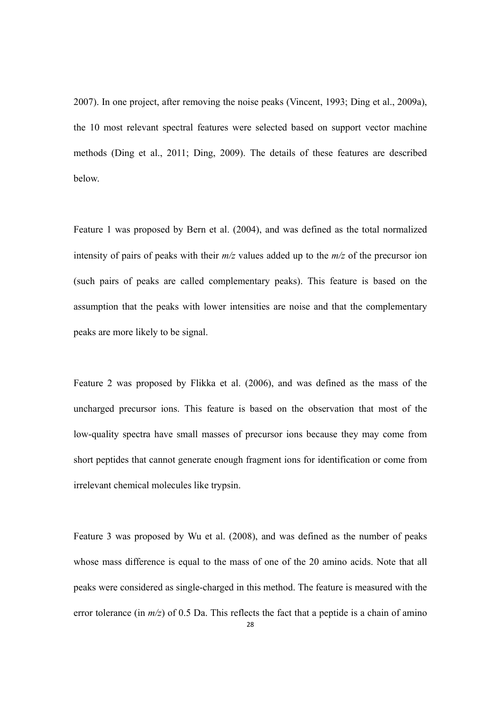2007). In one project, after removing the noise peaks (Vincent, 1993; Ding et al., 2009a), the 10 most relevant spectral features were selected based on support vector machine methods (Ding et al., 2011; Ding, 2009). The details of these features are described below.

Feature 1 was proposed by Bern et al. (2004), and was defined as the total normalized intensity of pairs of peaks with their *m/z* values added up to the *m/z* of the precursor ion (such pairs of peaks are called complementary peaks). This feature is based on the assumption that the peaks with lower intensities are noise and that the complementary peaks are more likely to be signal.

Feature 2 was proposed by Flikka et al. (2006), and was defined as the mass of the uncharged precursor ions. This feature is based on the observation that most of the low-quality spectra have small masses of precursor ions because they may come from short peptides that cannot generate enough fragment ions for identification or come from irrelevant chemical molecules like trypsin.

Feature 3 was proposed by Wu et al. (2008), and was defined as the number of peaks whose mass difference is equal to the mass of one of the 20 amino acids. Note that all peaks were considered as single-charged in this method. The feature is measured with the error tolerance (in  $m/z$ ) of 0.5 Da. This reflects the fact that a peptide is a chain of amino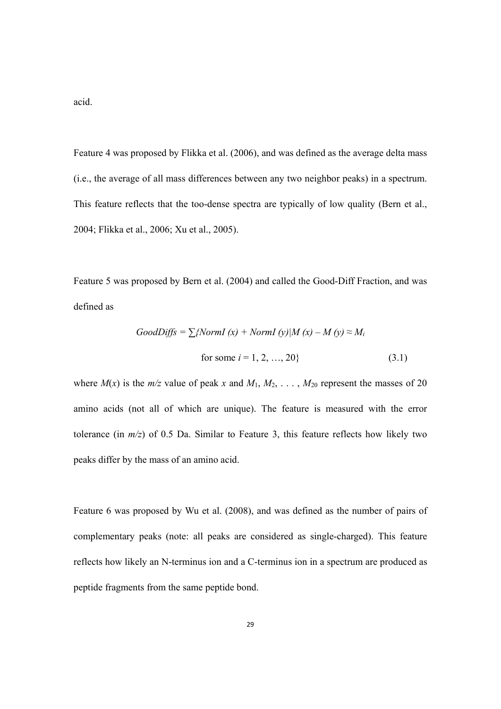acid.

Feature 4 was proposed by Flikka et al. (2006), and was defined as the average delta mass (i.e., the average of all mass differences between any two neighbor peaks) in a spectrum. This feature reflects that the too-dense spectra are typically of low quality (Bern et al., 2004; Flikka et al., 2006; Xu et al., 2005).

Feature 5 was proposed by Bern et al. (2004) and called the Good-Diff Fraction, and was defined as

GoodDiffs = 
$$
\sum
$$
{NormI (x) + NormI (y)|M (x) – M (y)  $\approx$  M<sub>i</sub>  
for some  $i = 1, 2, ..., 20$ } (3.1)

where  $M(x)$  is the  $m/z$  value of peak x and  $M_1, M_2, \ldots, M_{20}$  represent the masses of 20 amino acids (not all of which are unique). The feature is measured with the error tolerance (in  $m/z$ ) of 0.5 Da. Similar to Feature 3, this feature reflects how likely two peaks differ by the mass of an amino acid.

Feature 6 was proposed by Wu et al. (2008), and was defined as the number of pairs of complementary peaks (note: all peaks are considered as single-charged). This feature reflects how likely an N-terminus ion and a C-terminus ion in a spectrum are produced as peptide fragments from the same peptide bond.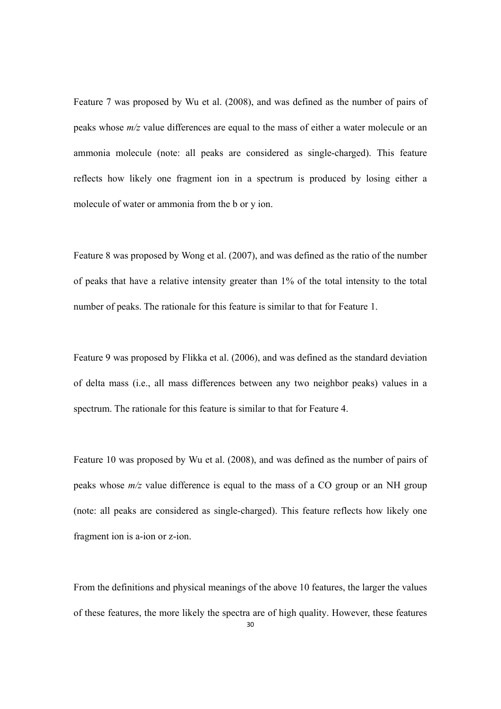Feature 7 was proposed by Wu et al. (2008), and was defined as the number of pairs of peaks whose *m/z* value differences are equal to the mass of either a water molecule or an ammonia molecule (note: all peaks are considered as single-charged). This feature reflects how likely one fragment ion in a spectrum is produced by losing either a molecule of water or ammonia from the b or y ion.

Feature 8 was proposed by Wong et al. (2007), and was defined as the ratio of the number of peaks that have a relative intensity greater than 1% of the total intensity to the total number of peaks. The rationale for this feature is similar to that for Feature 1.

Feature 9 was proposed by Flikka et al. (2006), and was defined as the standard deviation of delta mass (i.e., all mass differences between any two neighbor peaks) values in a spectrum. The rationale for this feature is similar to that for Feature 4.

Feature 10 was proposed by Wu et al. (2008), and was defined as the number of pairs of peaks whose *m/z* value difference is equal to the mass of a CO group or an NH group (note: all peaks are considered as single-charged). This feature reflects how likely one fragment ion is a-ion or z-ion.

From the definitions and physical meanings of the above 10 features, the larger the values of these features, the more likely the spectra are of high quality. However, these features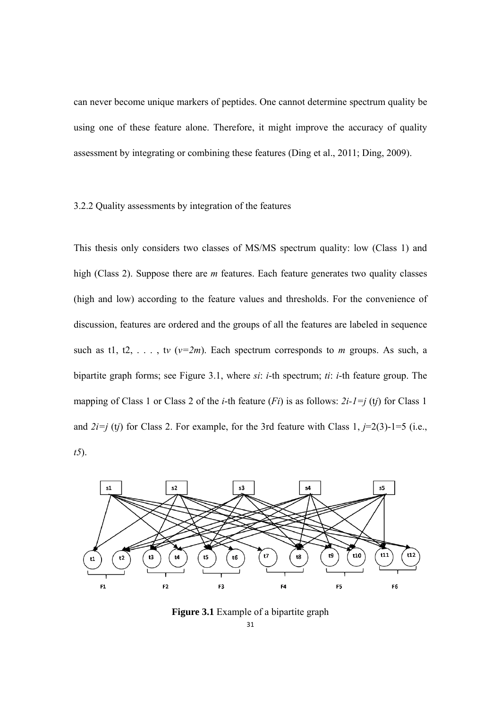can never become unique markers of peptides. One cannot determine spectrum quality be using one of these feature alone. Therefore, it might improve the accuracy of quality assessment by integrating or combining these features (Ding et al., 2011; Ding, 2009).

#### 3.2.2 Quality assessments by integration of the features

This thesis only considers two classes of MS/MS spectrum quality: low (Class 1) and high (Class 2). Suppose there are *m* features. Each feature generates two quality classes (high and low) according to the feature values and thresholds. For the convenience of discussion, features are ordered and the groups of all the features are labeled in sequence such as t1, t2, ..., tv  $(v=2m)$ . Each spectrum corresponds to *m* groups. As such, a bipartite graph forms; see Figure 3.1, where *si*: *i*-th spectrum; *ti*: *i*-th feature group. The mapping of Class 1 or Class 2 of the *i*-th feature (*Fi*) is as follows: *2i-1=j* (t*j*) for Class 1 and  $2i=j$  (tj) for Class 2. For example, for the 3rd feature with Class 1,  $j=2(3)-1=5$  (i.e., *t5*).



**Figure 3.1** Example of a bipartite graph

31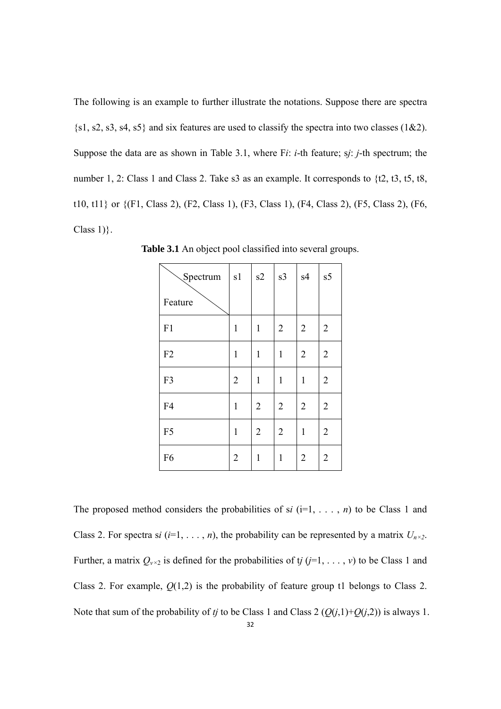The following is an example to further illustrate the notations. Suppose there are spectra  $\{s1, s2, s3, s4, s5\}$  and six features are used to classify the spectra into two classes (1&2). Suppose the data are as shown in Table 3.1, where F*i*: *i*-th feature; s*j*: *j*-th spectrum; the number 1, 2: Class 1 and Class 2. Take s3 as an example. It corresponds to {t2, t3, t5, t8, t10, t11} or {(F1, Class 2), (F2, Class 1), (F3, Class 1), (F4, Class 2), (F5, Class 2), (F6, Class  $1$ ).

| Spectrum       | s1             | s2             | s3             | s4             | s5             |
|----------------|----------------|----------------|----------------|----------------|----------------|
| Feature        |                |                |                |                |                |
| F1             | 1              | $\mathbf{1}$   | $\overline{2}$ | $\overline{2}$ | $\mathbf{2}$   |
| F2             | $\mathbf{1}$   | $\mathbf{1}$   | $\mathbf{1}$   | $\overline{2}$ | $\overline{2}$ |
| F3             | $\overline{2}$ | $\mathbf{1}$   | $\mathbf{1}$   | $\mathbf{1}$   | $\overline{2}$ |
| F4             | $\mathbf{1}$   | $\overline{2}$ | $\overline{2}$ | $\overline{2}$ | $\overline{2}$ |
| F <sub>5</sub> | $\mathbf{1}$   | $\overline{2}$ | $\overline{2}$ | $\mathbf{1}$   | $\overline{2}$ |
| F <sub>6</sub> | $\overline{2}$ | $\mathbf{1}$   | $\mathbf{1}$   | $\overline{2}$ | $\overline{2}$ |

**Table 3.1** An object pool classified into several groups.

The proposed method considers the probabilities of si  $(i=1, \ldots, n)$  to be Class 1 and Class 2. For spectra s*i* (*i*=1, . . . , *n*), the probability can be represented by a matrix  $U_{n \times 2}$ . Further, a matrix  $Q_{v\times 2}$  is defined for the probabilities of t*j* (*j*=1, ..., *v*) to be Class 1 and Class 2. For example,  $Q(1,2)$  is the probability of feature group t1 belongs to Class 2. Note that sum of the probability of *tj* to be Class 1 and Class 2 ( $Q(j,1)+Q(j,2)$ ) is always 1.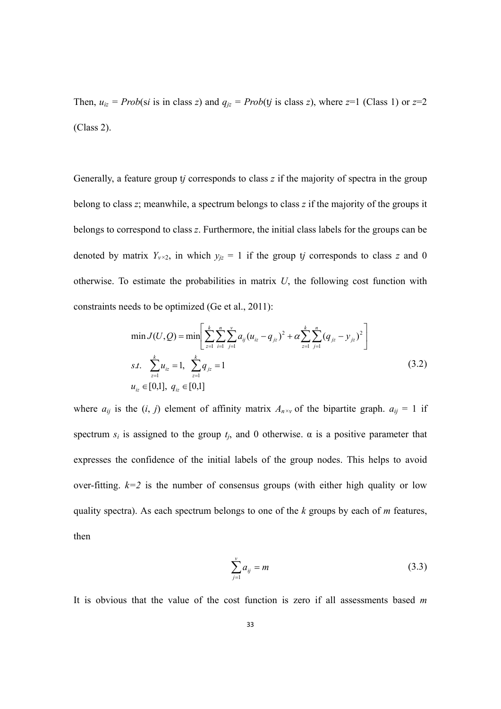Then,  $u_{iz} = Prob(\text{si is in class } z)$  and  $q_{iz} = Prob(\text{ti is class } z)$ , where  $z=1$  (Class 1) or  $z=2$ (Class 2).

Generally, a feature group t*j* corresponds to class *z* if the majority of spectra in the group belong to class *z*; meanwhile, a spectrum belongs to class *z* if the majority of the groups it belongs to correspond to class *z*. Furthermore, the initial class labels for the groups can be denoted by matrix  $Y_{\nu \times 2}$ , in which  $y_{jz} = 1$  if the group t*j* corresponds to class *z* and 0 otherwise. To estimate the probabilities in matrix *U*, the following cost function with constraints needs to be optimized (Ge et al., 2011):

$$
\min J(U, Q) = \min \left[ \sum_{z=1}^{k} \sum_{i=1}^{n} \sum_{j=1}^{v} a_{ij} (u_{iz} - q_{iz})^2 + \alpha \sum_{z=1}^{k} \sum_{j=1}^{n} (q_{iz} - y_{iz})^2 \right]
$$
  
s.t. 
$$
\sum_{z=1}^{k} u_{iz} = 1, \sum_{z=1}^{k} q_{iz} = 1
$$

$$
u_{iz} \in [0,1], q_{iz} \in [0,1]
$$
 (3.2)

where  $a_{ij}$  is the  $(i, j)$  element of affinity matrix  $A_{n \times y}$  of the bipartite graph.  $a_{ij} = 1$  if spectrum  $s_i$  is assigned to the group  $t_i$ , and 0 otherwise.  $\alpha$  is a positive parameter that expresses the confidence of the initial labels of the group nodes. This helps to avoid over-fitting.  $k=2$  is the number of consensus groups (with either high quality or low quality spectra). As each spectrum belongs to one of the *k* groups by each of *m* features, then

$$
\sum_{j=1}^{v} a_{ij} = m \tag{3.3}
$$

It is obvious that the value of the cost function is zero if all assessments based *m*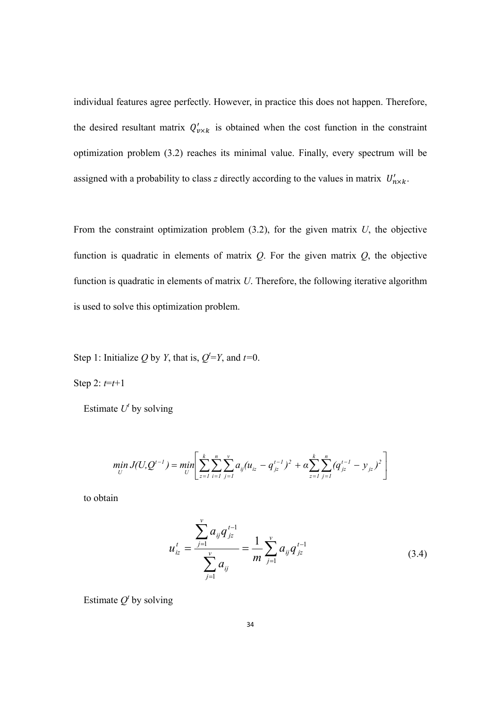individual features agree perfectly. However, in practice this does not happen. Therefore, the desired resultant matrix  $Q'_{\nu \times k}$  is obtained when the cost function in the constraint optimization problem (3.2) reaches its minimal value. Finally, every spectrum will be assigned with a probability to class *z* directly according to the values in matrix  $U'_{n \times k}$ .

From the constraint optimization problem (3.2), for the given matrix *U*, the objective function is quadratic in elements of matrix *Q*. For the given matrix *Q*, the objective function is quadratic in elements of matrix *U*. Therefore, the following iterative algorithm is used to solve this optimization problem.

Step 1: Initialize Q by *Y*, that is,  $Q^t = Y$ , and  $t=0$ .

Step 2:  $t=t+1$ 

Estimate  $U^t$  by solving

$$
\min_{U} J(U, Q^{t-1}) = \min_{U} \left[ \sum_{z=1}^{k} \sum_{i=1}^{n} \sum_{j=1}^{v} a_{ij} (u_{iz} - q_{jz}^{t-1})^2 + \alpha \sum_{z=1}^{k} \sum_{j=1}^{n} (q_{jz}^{t-1} - y_{jz})^2 \right]
$$

to obtain

$$
u_{iz}^t = \frac{\sum_{j=1}^{\nu} a_{ij} q_{iz}^{t-1}}{\sum_{j=1}^{\nu} a_{ij}} = \frac{1}{m} \sum_{j=1}^{\nu} a_{ij} q_{iz}^{t-1}
$$
(3.4)

Estimate  $Q^t$  by solving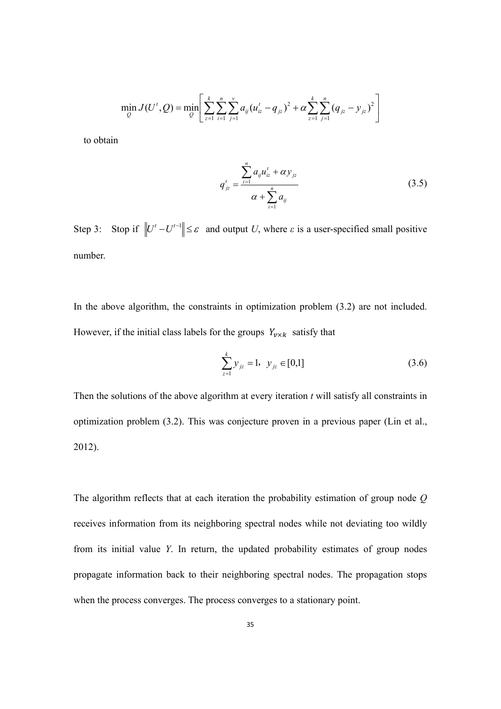$$
\min_{Q} J(U', Q) = \min_{Q} \left[ \sum_{z=1}^{k} \sum_{i=1}^{n} \sum_{j=1}^{v} a_{ij} (u'_{iz} - q_{iz})^2 + \alpha \sum_{z=1}^{k} \sum_{j=1}^{n} (q_{iz} - y_{iz})^2 \right]
$$

to obtain

$$
q'_{jz} = \frac{\sum_{i=1}^{n} a_{ij} u'_{iz} + \alpha y_{jz}}{\alpha + \sum_{i=1}^{n} a_{ij}}
$$
(3.5)

Step 3: Stop if  $||U^t - U^{t-1}|| \leq \varepsilon$  and output *U*, where  $\varepsilon$  is a user-specified small positive number.

In the above algorithm, the constraints in optimization problem (3.2) are not included. However, if the initial class labels for the groups  $Y_{\nu \times k}$  satisfy that

$$
\sum_{z=1}^{k} y_{jz} = 1, \ y_{jz} \in [0,1]
$$
 (3.6)

Then the solutions of the above algorithm at every iteration *t* will satisfy all constraints in optimization problem (3.2). This was conjecture proven in a previous paper (Lin et al., 2012).

The algorithm reflects that at each iteration the probability estimation of group node *Q* receives information from its neighboring spectral nodes while not deviating too wildly from its initial value *Y*. In return, the updated probability estimates of group nodes propagate information back to their neighboring spectral nodes. The propagation stops when the process converges. The process converges to a stationary point.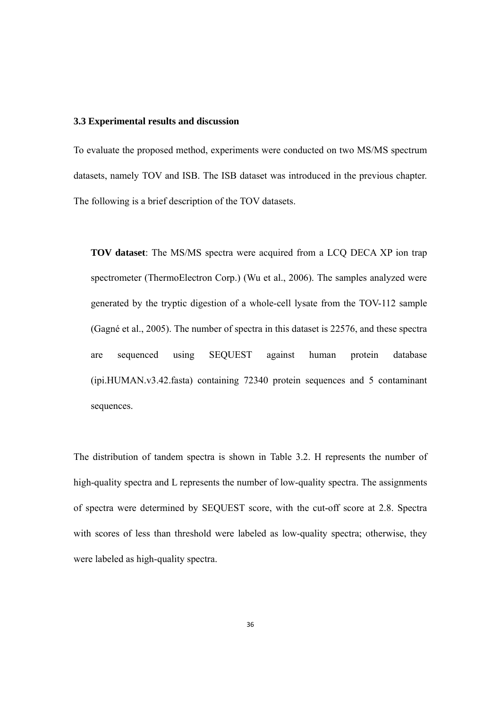#### **3.3 Experimental results and discussion**

To evaluate the proposed method, experiments were conducted on two MS/MS spectrum datasets, namely TOV and ISB. The ISB dataset was introduced in the previous chapter. The following is a brief description of the TOV datasets.

**TOV dataset**: The MS/MS spectra were acquired from a LCQ DECA XP ion trap spectrometer (ThermoElectron Corp.) (Wu et al., 2006). The samples analyzed were generated by the tryptic digestion of a whole-cell lysate from the TOV-112 sample (Gagné et al., 2005). The number of spectra in this dataset is 22576, and these spectra are sequenced using SEQUEST against human protein database (ipi.HUMAN.v3.42.fasta) containing 72340 protein sequences and 5 contaminant sequences.

The distribution of tandem spectra is shown in Table 3.2. H represents the number of high-quality spectra and L represents the number of low-quality spectra. The assignments of spectra were determined by SEQUEST score, with the cut-off score at 2.8. Spectra with scores of less than threshold were labeled as low-quality spectra; otherwise, they were labeled as high-quality spectra.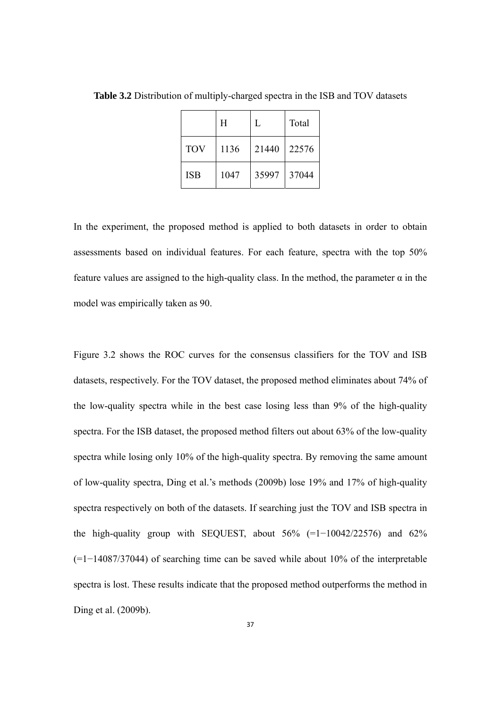|            | Η    | L     | Total |
|------------|------|-------|-------|
| <b>TOV</b> | 1136 | 21440 | 22576 |
| <b>ISB</b> | 1047 | 35997 | 37044 |

**Table 3.2** Distribution of multiply-charged spectra in the ISB and TOV datasets

In the experiment, the proposed method is applied to both datasets in order to obtain assessments based on individual features. For each feature, spectra with the top 50% feature values are assigned to the high-quality class. In the method, the parameter  $\alpha$  in the model was empirically taken as 90.

Figure 3.2 shows the ROC curves for the consensus classifiers for the TOV and ISB datasets, respectively. For the TOV dataset, the proposed method eliminates about 74% of the low-quality spectra while in the best case losing less than 9% of the high-quality spectra. For the ISB dataset, the proposed method filters out about 63% of the low-quality spectra while losing only 10% of the high-quality spectra. By removing the same amount of low-quality spectra, Ding et al.'s methods (2009b) lose 19% and 17% of high-quality spectra respectively on both of the datasets. If searching just the TOV and ISB spectra in the high-quality group with SEQUEST, about  $56\%$  (=1-10042/22576) and  $62\%$ (=1−14087/37044) of searching time can be saved while about 10% of the interpretable spectra is lost. These results indicate that the proposed method outperforms the method in Ding et al. (2009b).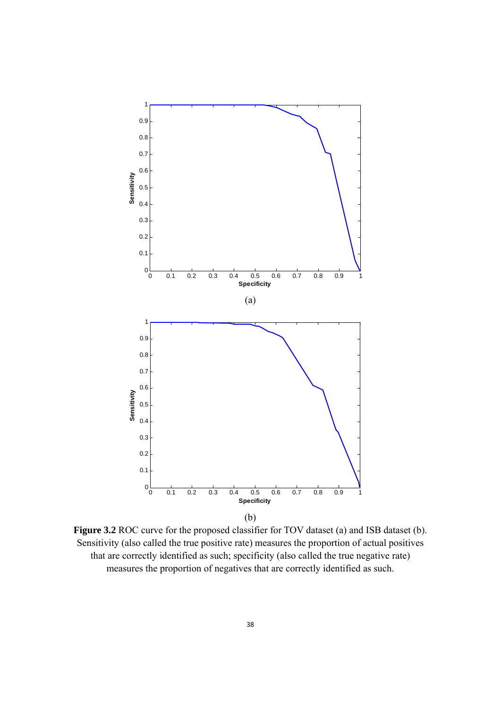

**Figure 3.2** ROC curve for the proposed classifier for TOV dataset (a) and ISB dataset (b). Sensitivity (also called the true positive rate) measures the proportion of actual positives that are correctly identified as such; specificity (also called the true negative rate) measures the proportion of negatives that are correctly identified as such.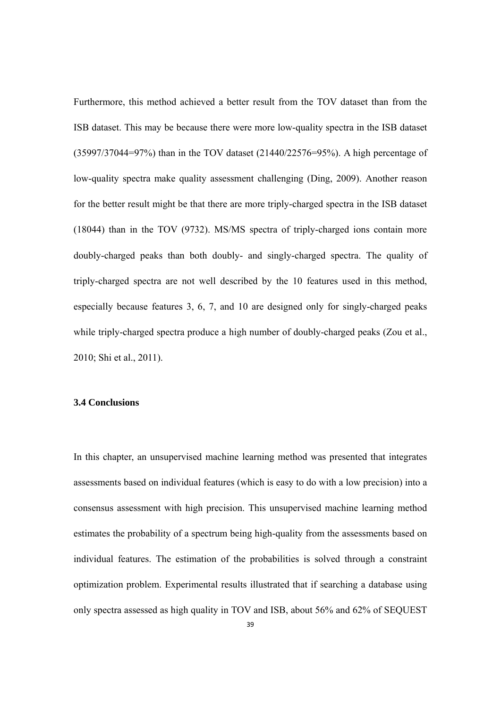Furthermore, this method achieved a better result from the TOV dataset than from the ISB dataset. This may be because there were more low-quality spectra in the ISB dataset (35997/37044=97%) than in the TOV dataset (21440/22576=95%). A high percentage of low-quality spectra make quality assessment challenging (Ding, 2009). Another reason for the better result might be that there are more triply-charged spectra in the ISB dataset (18044) than in the TOV (9732). MS/MS spectra of triply-charged ions contain more doubly-charged peaks than both doubly- and singly-charged spectra. The quality of triply-charged spectra are not well described by the 10 features used in this method, especially because features 3, 6, 7, and 10 are designed only for singly-charged peaks while triply-charged spectra produce a high number of doubly-charged peaks (Zou et al., 2010; Shi et al., 2011).

#### **3.4 Conclusions**

In this chapter, an unsupervised machine learning method was presented that integrates assessments based on individual features (which is easy to do with a low precision) into a consensus assessment with high precision. This unsupervised machine learning method estimates the probability of a spectrum being high-quality from the assessments based on individual features. The estimation of the probabilities is solved through a constraint optimization problem. Experimental results illustrated that if searching a database using only spectra assessed as high quality in TOV and ISB, about 56% and 62% of SEQUEST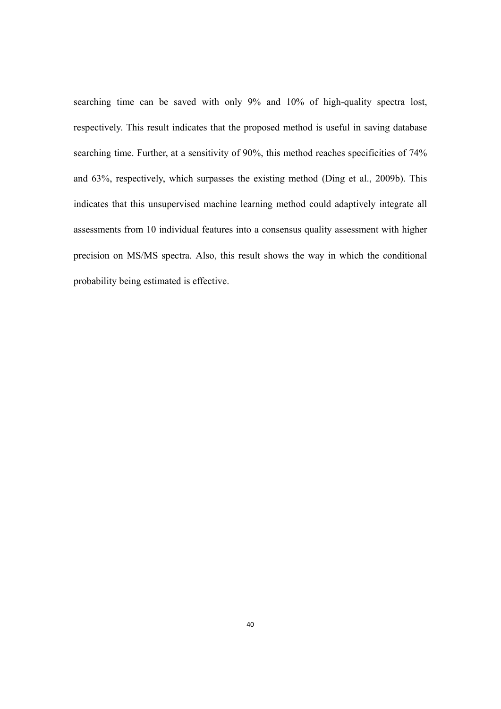searching time can be saved with only 9% and 10% of high-quality spectra lost, respectively. This result indicates that the proposed method is useful in saving database searching time. Further, at a sensitivity of 90%, this method reaches specificities of 74% and 63%, respectively, which surpasses the existing method (Ding et al., 2009b). This indicates that this unsupervised machine learning method could adaptively integrate all assessments from 10 individual features into a consensus quality assessment with higher precision on MS/MS spectra. Also, this result shows the way in which the conditional probability being estimated is effective.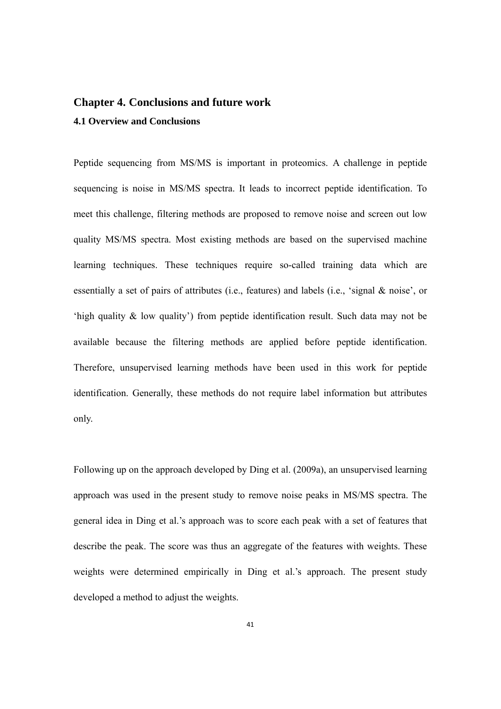## **Chapter 4. Conclusions and future work 4.1 Overview and Conclusions**

Peptide sequencing from MS/MS is important in proteomics. A challenge in peptide sequencing is noise in MS/MS spectra. It leads to incorrect peptide identification. To meet this challenge, filtering methods are proposed to remove noise and screen out low quality MS/MS spectra. Most existing methods are based on the supervised machine learning techniques. These techniques require so-called training data which are essentially a set of pairs of attributes (i.e., features) and labels (i.e., 'signal & noise', or 'high quality & low quality') from peptide identification result. Such data may not be available because the filtering methods are applied before peptide identification. Therefore, unsupervised learning methods have been used in this work for peptide identification. Generally, these methods do not require label information but attributes only.

Following up on the approach developed by Ding et al. (2009a), an unsupervised learning approach was used in the present study to remove noise peaks in MS/MS spectra. The general idea in Ding et al.'s approach was to score each peak with a set of features that describe the peak. The score was thus an aggregate of the features with weights. These weights were determined empirically in Ding et al.'s approach. The present study developed a method to adjust the weights.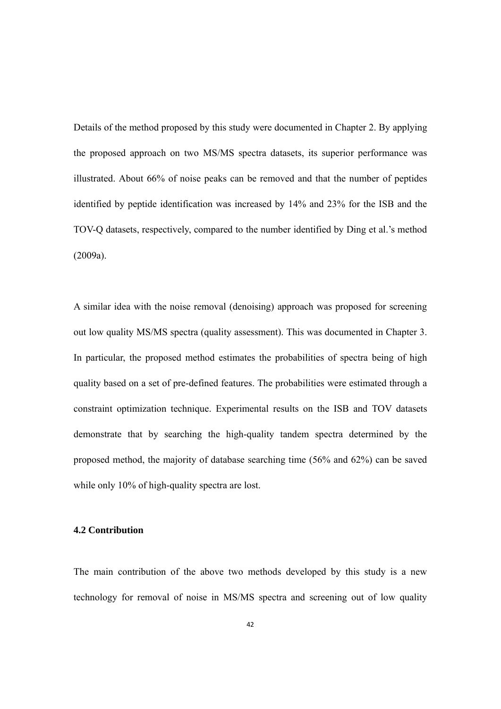Details of the method proposed by this study were documented in Chapter 2. By applying the proposed approach on two MS/MS spectra datasets, its superior performance was illustrated. About 66% of noise peaks can be removed and that the number of peptides identified by peptide identification was increased by 14% and 23% for the ISB and the TOV-Q datasets, respectively, compared to the number identified by Ding et al.'s method (2009a).

A similar idea with the noise removal (denoising) approach was proposed for screening out low quality MS/MS spectra (quality assessment). This was documented in Chapter 3. In particular, the proposed method estimates the probabilities of spectra being of high quality based on a set of pre-defined features. The probabilities were estimated through a constraint optimization technique. Experimental results on the ISB and TOV datasets demonstrate that by searching the high-quality tandem spectra determined by the proposed method, the majority of database searching time (56% and 62%) can be saved while only 10% of high-quality spectra are lost.

#### **4.2 Contribution**

The main contribution of the above two methods developed by this study is a new technology for removal of noise in MS/MS spectra and screening out of low quality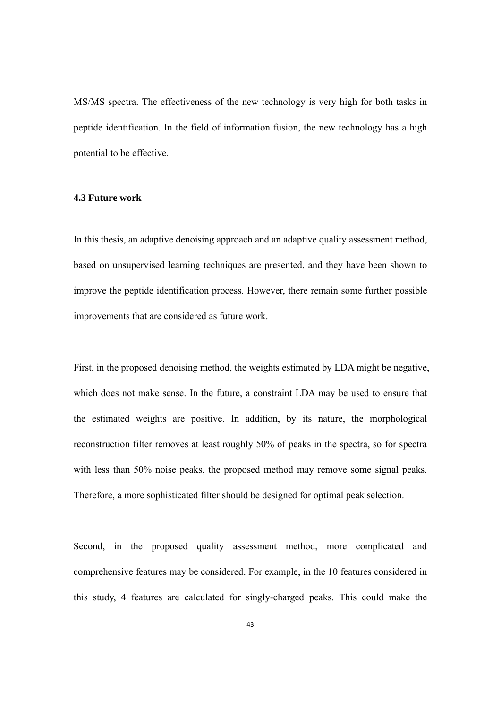MS/MS spectra. The effectiveness of the new technology is very high for both tasks in peptide identification. In the field of information fusion, the new technology has a high potential to be effective.

#### **4.3 Future work**

In this thesis, an adaptive denoising approach and an adaptive quality assessment method, based on unsupervised learning techniques are presented, and they have been shown to improve the peptide identification process. However, there remain some further possible improvements that are considered as future work.

First, in the proposed denoising method, the weights estimated by LDA might be negative, which does not make sense. In the future, a constraint LDA may be used to ensure that the estimated weights are positive. In addition, by its nature, the morphological reconstruction filter removes at least roughly 50% of peaks in the spectra, so for spectra with less than 50% noise peaks, the proposed method may remove some signal peaks. Therefore, a more sophisticated filter should be designed for optimal peak selection.

Second, in the proposed quality assessment method, more complicated and comprehensive features may be considered. For example, in the 10 features considered in this study, 4 features are calculated for singly-charged peaks. This could make the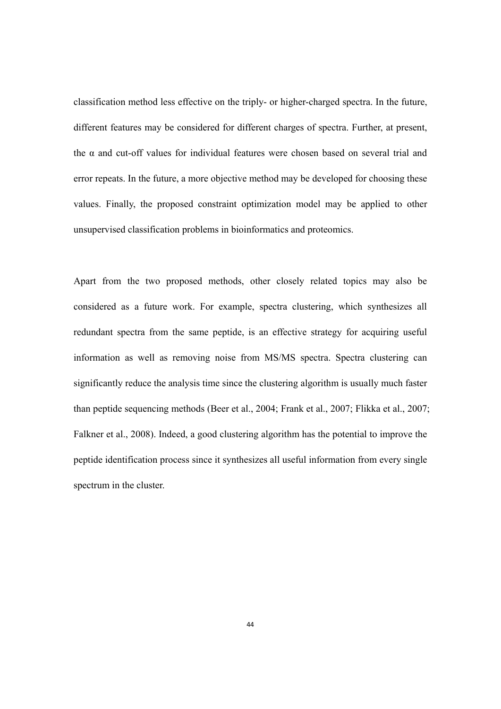classification method less effective on the triply- or higher-charged spectra. In the future, different features may be considered for different charges of spectra. Further, at present, the  $\alpha$  and cut-off values for individual features were chosen based on several trial and error repeats. In the future, a more objective method may be developed for choosing these values. Finally, the proposed constraint optimization model may be applied to other unsupervised classification problems in bioinformatics and proteomics.

Apart from the two proposed methods, other closely related topics may also be considered as a future work. For example, spectra clustering, which synthesizes all redundant spectra from the same peptide, is an effective strategy for acquiring useful information as well as removing noise from MS/MS spectra. Spectra clustering can significantly reduce the analysis time since the clustering algorithm is usually much faster than peptide sequencing methods (Beer et al., 2004; Frank et al., 2007; Flikka et al., 2007; Falkner et al., 2008). Indeed, a good clustering algorithm has the potential to improve the peptide identification process since it synthesizes all useful information from every single spectrum in the cluster.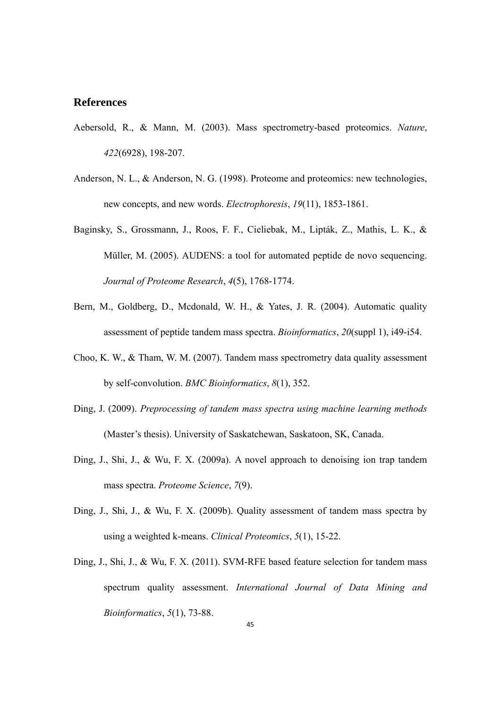#### **References**

- Aebersold, R., & Mann, M. (2003). Mass spectrometry-based proteomics. *Nature*, *422*(6928), 198-207.
- Anderson, N. L., & Anderson, N. G. (1998). Proteome and proteomics: new technologies, new concepts, and new words. *Electrophoresis*, *19*(11), 1853-1861.
- Baginsky, S., Grossmann, J., Roos, F. F., Cieliebak, M., Lipták, Z., Mathis, L. K., & Müller, M. (2005). AUDENS: a tool for automated peptide de novo sequencing. *Journal of Proteome Research*, *4*(5), 1768-1774.
- Bern, M., Goldberg, D., Mcdonald, W. H., & Yates, J. R. (2004). Automatic quality assessment of peptide tandem mass spectra. *Bioinformatics*, *20*(suppl 1), i49-i54.
- Choo, K. W., & Tham, W. M. (2007). Tandem mass spectrometry data quality assessment by self-convolution. *BMC Bioinformatics*, *8*(1), 352.
- Ding, J. (2009). *Preprocessing of tandem mass spectra using machine learning methods* (Master's thesis). University of Saskatchewan, Saskatoon, SK, Canada.
- Ding, J., Shi, J., & Wu, F. X. (2009a). A novel approach to denoising ion trap tandem mass spectra. *Proteome Science*, *7*(9).
- Ding, J., Shi, J., & Wu, F. X. (2009b). Quality assessment of tandem mass spectra by using a weighted k-means. *Clinical Proteomics*, *5*(1), 15-22.
- Ding, J., Shi, J., & Wu, F. X. (2011). SVM-RFE based feature selection for tandem mass spectrum quality assessment. *International Journal of Data Mining and Bioinformatics*, *5*(1), 73-88.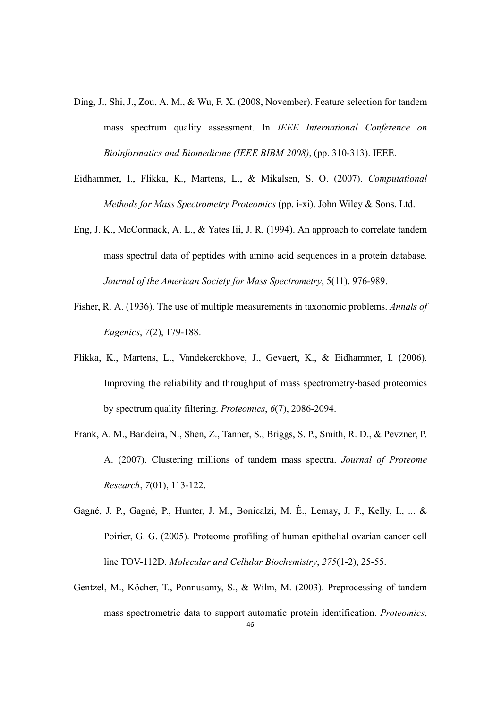- Ding, J., Shi, J., Zou, A. M., & Wu, F. X. (2008, November). Feature selection for tandem mass spectrum quality assessment. In *IEEE International Conference on Bioinformatics and Biomedicine (IEEE BIBM 2008)*, (pp. 310-313). IEEE.
- Eidhammer, I., Flikka, K., Martens, L., & Mikalsen, S. O. (2007). *Computational Methods for Mass Spectrometry Proteomics* (pp. i-xi). John Wiley & Sons, Ltd.
- Eng, J. K., McCormack, A. L., & Yates Iii, J. R. (1994). An approach to correlate tandem mass spectral data of peptides with amino acid sequences in a protein database. *Journal of the American Society for Mass Spectrometry*, 5(11), 976-989.
- Fisher, R. A. (1936). The use of multiple measurements in taxonomic problems. *Annals of Eugenics*, *7*(2), 179-188.
- Flikka, K., Martens, L., Vandekerckhove, J., Gevaert, K., & Eidhammer, I. (2006). Improving the reliability and throughput of mass spectrometry‐based proteomics by spectrum quality filtering. *Proteomics*, *6*(7), 2086-2094.
- Frank, A. M., Bandeira, N., Shen, Z., Tanner, S., Briggs, S. P., Smith, R. D., & Pevzner, P. A. (2007). Clustering millions of tandem mass spectra. *Journal of Proteome Research*, *7*(01), 113-122.
- Gagné, J. P., Gagné, P., Hunter, J. M., Bonicalzi, M. È., Lemay, J. F., Kelly, I., ... & Poirier, G. G. (2005). Proteome profiling of human epithelial ovarian cancer cell line TOV-112D. *Molecular and Cellular Biochemistry*, *275*(1-2), 25-55.
- Gentzel, M., Köcher, T., Ponnusamy, S., & Wilm, M. (2003). Preprocessing of tandem mass spectrometric data to support automatic protein identification. *Proteomics*,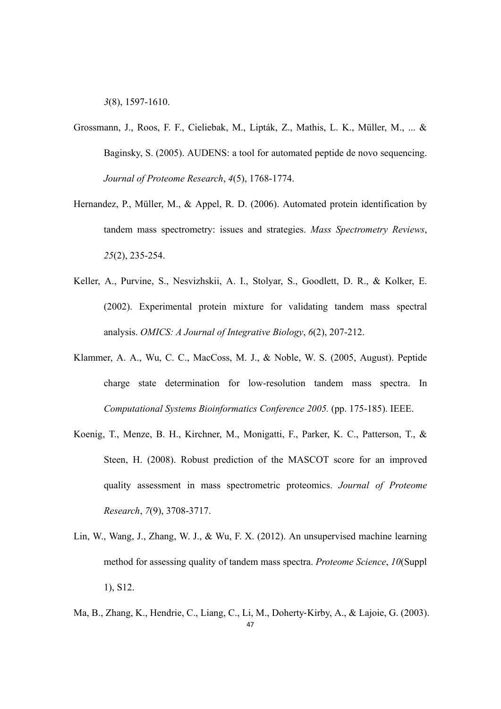*3*(8), 1597-1610.

- Grossmann, J., Roos, F. F., Cieliebak, M., Lipták, Z., Mathis, L. K., Müller, M., ... & Baginsky, S. (2005). AUDENS: a tool for automated peptide de novo sequencing. *Journal of Proteome Research*, *4*(5), 1768-1774.
- Hernandez, P., Müller, M., & Appel, R. D. (2006). Automated protein identification by tandem mass spectrometry: issues and strategies. *Mass Spectrometry Reviews*, *25*(2), 235-254.
- Keller, A., Purvine, S., Nesvizhskii, A. I., Stolyar, S., Goodlett, D. R., & Kolker, E. (2002). Experimental protein mixture for validating tandem mass spectral analysis. *OMICS: A Journal of Integrative Biology*, *6*(2), 207-212.
- Klammer, A. A., Wu, C. C., MacCoss, M. J., & Noble, W. S. (2005, August). Peptide charge state determination for low-resolution tandem mass spectra. In *Computational Systems Bioinformatics Conference 2005.* (pp. 175-185). IEEE.
- Koenig, T., Menze, B. H., Kirchner, M., Monigatti, F., Parker, K. C., Patterson, T., & Steen, H. (2008). Robust prediction of the MASCOT score for an improved quality assessment in mass spectrometric proteomics. *Journal of Proteome Research*, *7*(9), 3708-3717.
- Lin, W., Wang, J., Zhang, W. J., & Wu, F. X. (2012). An unsupervised machine learning method for assessing quality of tandem mass spectra. *Proteome Science*, *10*(Suppl 1), S12.
- 47 Ma, B., Zhang, K., Hendrie, C., Liang, C., Li, M., Doherty‐Kirby, A., & Lajoie, G. (2003).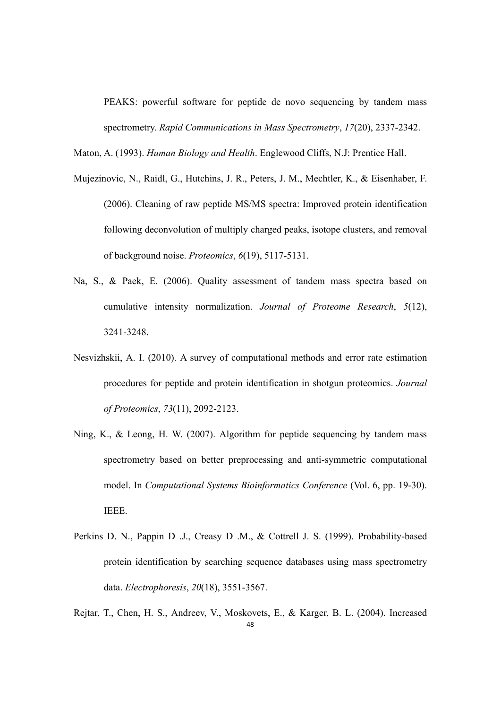PEAKS: powerful software for peptide de novo sequencing by tandem mass spectrometry. *Rapid Communications in Mass Spectrometry*, *17*(20), 2337-2342.

Maton, A. (1993). *Human Biology and Health*. Englewood Cliffs, N.J: Prentice Hall.

- Mujezinovic, N., Raidl, G., Hutchins, J. R., Peters, J. M., Mechtler, K., & Eisenhaber, F. (2006). Cleaning of raw peptide MS/MS spectra: Improved protein identification following deconvolution of multiply charged peaks, isotope clusters, and removal of background noise. *Proteomics*, *6*(19), 5117-5131.
- Na, S., & Paek, E. (2006). Quality assessment of tandem mass spectra based on cumulative intensity normalization. *Journal of Proteome Research*, *5*(12), 3241-3248.
- Nesvizhskii, A. I. (2010). A survey of computational methods and error rate estimation procedures for peptide and protein identification in shotgun proteomics. *Journal of Proteomics*, *73*(11), 2092-2123.
- Ning, K., & Leong, H. W. (2007). Algorithm for peptide sequencing by tandem mass spectrometry based on better preprocessing and anti-symmetric computational model. In *Computational Systems Bioinformatics Conference* (Vol. 6, pp. 19-30). IEEE.
- Perkins D. N., Pappin D .J., Creasy D .M., & Cottrell J. S. (1999). Probability-based protein identification by searching sequence databases using mass spectrometry data. *Electrophoresis*, *20*(18), 3551-3567.
- 48 Rejtar, T., Chen, H. S., Andreev, V., Moskovets, E., & Karger, B. L. (2004). Increased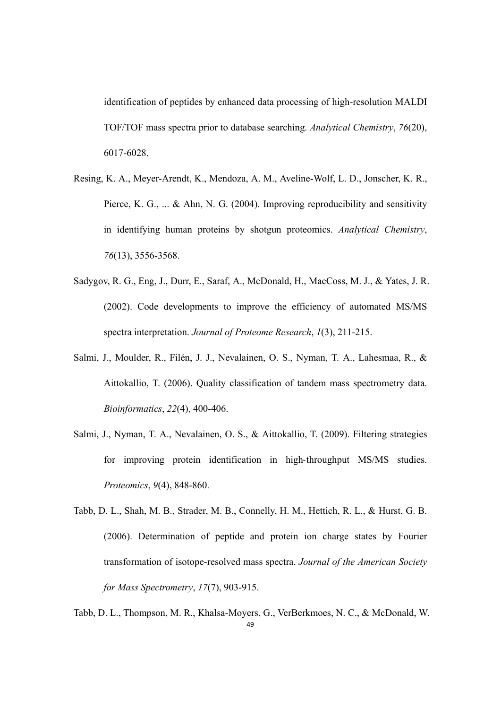identification of peptides by enhanced data processing of high-resolution MALDI TOF/TOF mass spectra prior to database searching. *Analytical Chemistry*, *76*(20), 6017-6028.

- Resing, K. A., Meyer-Arendt, K., Mendoza, A. M., Aveline-Wolf, L. D., Jonscher, K. R., Pierce, K. G., ... & Ahn, N. G. (2004). Improving reproducibility and sensitivity in identifying human proteins by shotgun proteomics. *Analytical Chemistry*, *76*(13), 3556-3568.
- Sadygov, R. G., Eng, J., Durr, E., Saraf, A., McDonald, H., MacCoss, M. J., & Yates, J. R. (2002). Code developments to improve the efficiency of automated MS/MS spectra interpretation. *Journal of Proteome Research*, *1*(3), 211-215.
- Salmi, J., Moulder, R., Filén, J. J., Nevalainen, O. S., Nyman, T. A., Lahesmaa, R., & Aittokallio, T. (2006). Quality classification of tandem mass spectrometry data. *Bioinformatics*, *22*(4), 400-406.
- Salmi, J., Nyman, T. A., Nevalainen, O. S., & Aittokallio, T. (2009). Filtering strategies for improving protein identification in high-throughput MS/MS studies. *Proteomics*, *9*(4), 848-860.
- Tabb, D. L., Shah, M. B., Strader, M. B., Connelly, H. M., Hettich, R. L., & Hurst, G. B. (2006). Determination of peptide and protein ion charge states by Fourier transformation of isotope-resolved mass spectra. *Journal of the American Society for Mass Spectrometry*, *17*(7), 903-915.
- 49 Tabb, D. L., Thompson, M. R., Khalsa-Moyers, G., VerBerkmoes, N. C., & McDonald, W.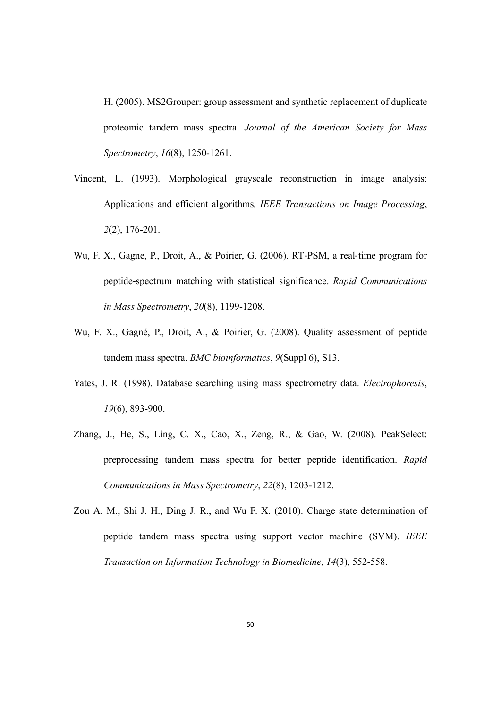H. (2005). MS2Grouper: group assessment and synthetic replacement of duplicate proteomic tandem mass spectra. *Journal of the American Society for Mass Spectrometry*, *16*(8), 1250-1261.

- Vincent, L. (1993). Morphological grayscale reconstruction in image analysis: Applications and efficient algorithms*, IEEE Transactions on Image Processing*, *2*(2), 176-201.
- Wu, F. X., Gagne, P., Droit, A., & Poirier, G. (2006). RT-PSM, a real-time program for peptide‐spectrum matching with statistical significance. *Rapid Communications in Mass Spectrometry*, *20*(8), 1199-1208.
- Wu, F. X., Gagné, P., Droit, A., & Poirier, G. (2008). Quality assessment of peptide tandem mass spectra. *BMC bioinformatics*, *9*(Suppl 6), S13.
- Yates, J. R. (1998). Database searching using mass spectrometry data. *Electrophoresis*, *19*(6), 893-900.
- Zhang, J., He, S., Ling, C. X., Cao, X., Zeng, R., & Gao, W. (2008). PeakSelect: preprocessing tandem mass spectra for better peptide identification. *Rapid Communications in Mass Spectrometry*, *22*(8), 1203-1212.
- Zou A. M., Shi J. H., Ding J. R., and Wu F. X. (2010). Charge state determination of peptide tandem mass spectra using support vector machine (SVM). *IEEE Transaction on Information Technology in Biomedicine, 14*(3), 552-558.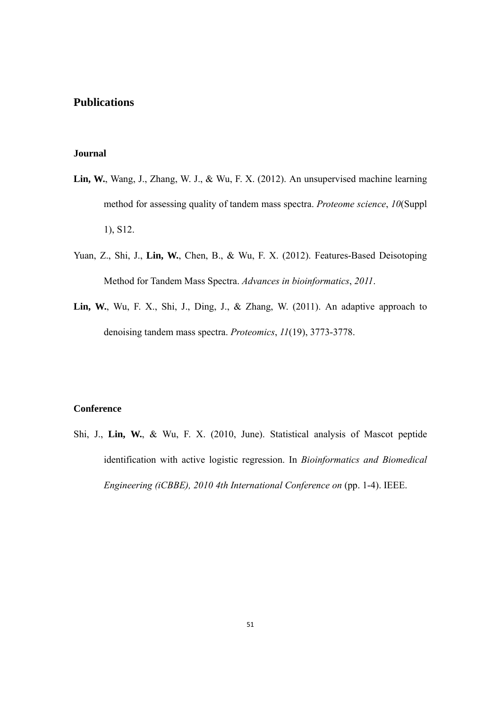#### **Publications**

#### **Journal**

- **Lin, W.**, Wang, J., Zhang, W. J., & Wu, F. X. (2012). An unsupervised machine learning method for assessing quality of tandem mass spectra. *Proteome science*, *10*(Suppl 1), S12.
- Yuan, Z., Shi, J., **Lin, W.**, Chen, B., & Wu, F. X. (2012). Features-Based Deisotoping Method for Tandem Mass Spectra. *Advances in bioinformatics*, *2011*.
- **Lin, W.**, Wu, F. X., Shi, J., Ding, J., & Zhang, W. (2011). An adaptive approach to denoising tandem mass spectra. *Proteomics*, *11*(19), 3773-3778.

#### **Conference**

Shi, J., **Lin, W.**, & Wu, F. X. (2010, June). Statistical analysis of Mascot peptide identification with active logistic regression. In *Bioinformatics and Biomedical Engineering (iCBBE), 2010 4th International Conference on* (pp. 1-4). IEEE.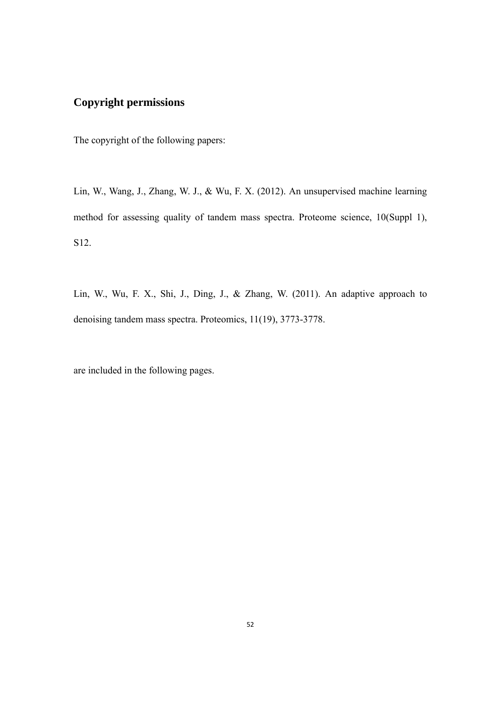## **Copyright permissions**

The copyright of the following papers:

Lin, W., Wang, J., Zhang, W. J., & Wu, F. X. (2012). An unsupervised machine learning method for assessing quality of tandem mass spectra. Proteome science, 10(Suppl 1), S12.

Lin, W., Wu, F. X., Shi, J., Ding, J., & Zhang, W. (2011). An adaptive approach to denoising tandem mass spectra. Proteomics, 11(19), 3773-3778.

are included in the following pages.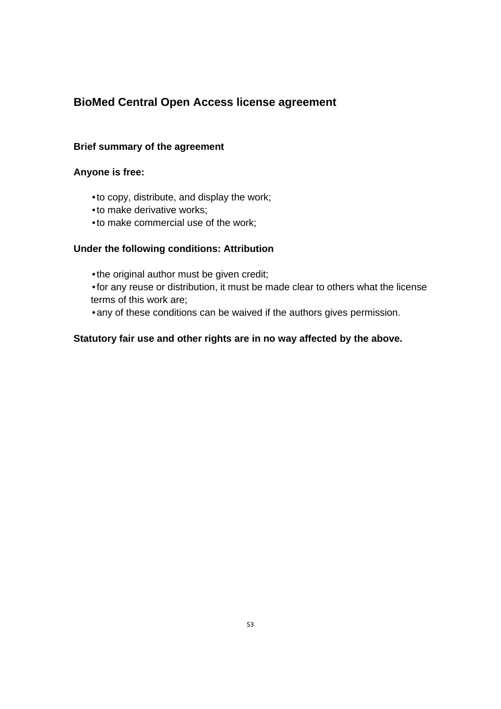### **BioMed Central Open Access license agreement**

#### **Brief summary of the agreement**

#### **Anyone is free:**

- •to copy, distribute, and display the work;
- •to make derivative works;
- •to make commercial use of the work;

#### **Under the following conditions: Attribution**

- •the original author must be given credit;
- •for any reuse or distribution, it must be made clear to others what the license terms of this work are;
- •any of these conditions can be waived if the authors gives permission.

#### **Statutory fair use and other rights are in no way affected by the above.**